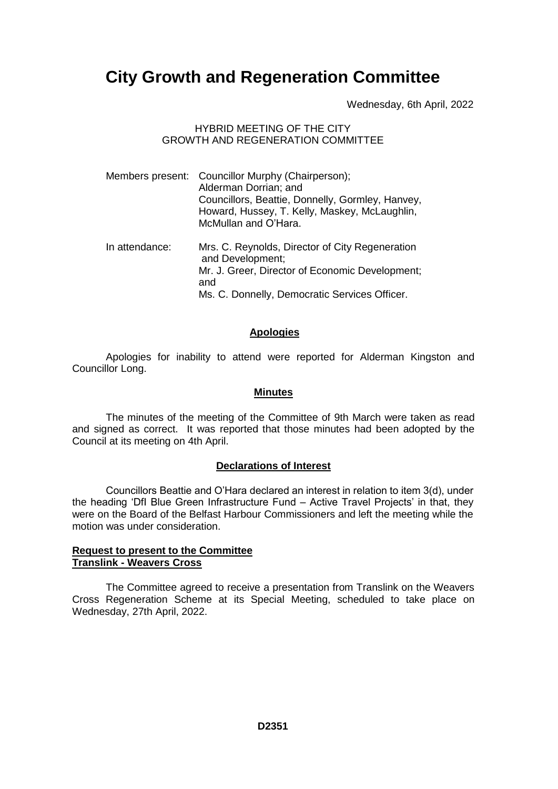# **City Growth and Regeneration Committee**

Wednesday, 6th April, 2022

## HYBRID MEETING OF THE CITY GROWTH AND REGENERATION COMMITTEE

|                | Members present: Councillor Murphy (Chairperson);<br>Alderman Dorrian; and<br>Councillors, Beattie, Donnelly, Gormley, Hanvey,<br>Howard, Hussey, T. Kelly, Maskey, McLaughlin,<br>McMullan and O'Hara. |
|----------------|---------------------------------------------------------------------------------------------------------------------------------------------------------------------------------------------------------|
| In attendance: | Mrs. C. Reynolds, Director of City Regeneration<br>and Development;<br>Mr. J. Greer, Director of Economic Development;<br>and<br>Ms. C. Donnelly, Democratic Services Officer.                          |

## **Apologies**

Apologies for inability to attend were reported for Alderman Kingston and Councillor Long.

#### **Minutes**

The minutes of the meeting of the Committee of 9th March were taken as read and signed as correct. It was reported that those minutes had been adopted by the Council at its meeting on 4th April.

## **Declarations of Interest**

Councillors Beattie and O'Hara declared an interest in relation to item 3(d), under the heading 'DfI Blue Green Infrastructure Fund – Active Travel Projects' in that, they were on the Board of the Belfast Harbour Commissioners and left the meeting while the motion was under consideration.

## **Request to present to the Committee Translink - Weavers Cross**

The Committee agreed to receive a presentation from Translink on the Weavers Cross Regeneration Scheme at its Special Meeting, scheduled to take place on Wednesday, 27th April, 2022.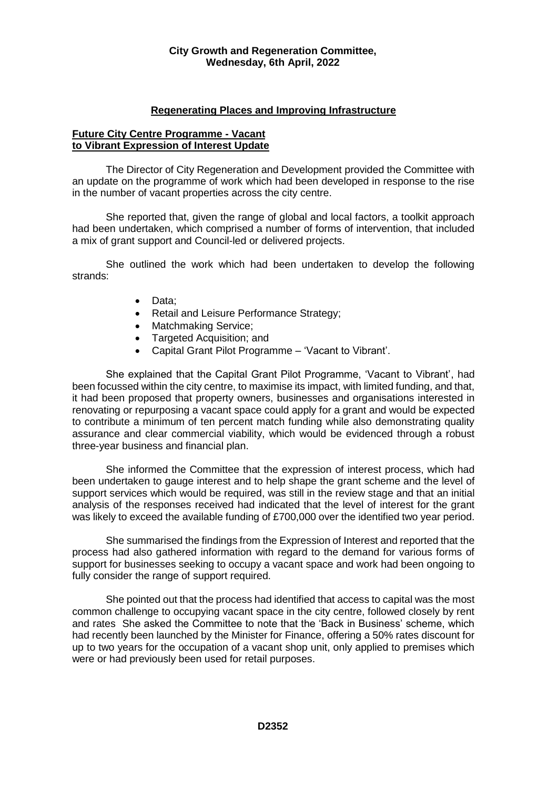## **Regenerating Places and Improving Infrastructure**

## **Future City Centre Programme - Vacant to Vibrant Expression of Interest Update**

The Director of City Regeneration and Development provided the Committee with an update on the programme of work which had been developed in response to the rise in the number of vacant properties across the city centre.

She reported that, given the range of global and local factors, a toolkit approach had been undertaken, which comprised a number of forms of intervention, that included a mix of grant support and Council-led or delivered projects.

She outlined the work which had been undertaken to develop the following strands:

- Data:
- Retail and Leisure Performance Strategy;
- Matchmaking Service:
- Targeted Acquisition; and
- Capital Grant Pilot Programme 'Vacant to Vibrant'.

She explained that the Capital Grant Pilot Programme, 'Vacant to Vibrant', had been focussed within the city centre, to maximise its impact, with limited funding, and that, it had been proposed that property owners, businesses and organisations interested in renovating or repurposing a vacant space could apply for a grant and would be expected to contribute a minimum of ten percent match funding while also demonstrating quality assurance and clear commercial viability, which would be evidenced through a robust three-year business and financial plan.

She informed the Committee that the expression of interest process, which had been undertaken to gauge interest and to help shape the grant scheme and the level of support services which would be required, was still in the review stage and that an initial analysis of the responses received had indicated that the level of interest for the grant was likely to exceed the available funding of £700,000 over the identified two year period.

She summarised the findings from the Expression of Interest and reported that the process had also gathered information with regard to the demand for various forms of support for businesses seeking to occupy a vacant space and work had been ongoing to fully consider the range of support required.

She pointed out that the process had identified that access to capital was the most common challenge to occupying vacant space in the city centre, followed closely by rent and rates She asked the Committee to note that the 'Back in Business' scheme, which had recently been launched by the Minister for Finance, offering a 50% rates discount for up to two years for the occupation of a vacant shop unit, only applied to premises which were or had previously been used for retail purposes.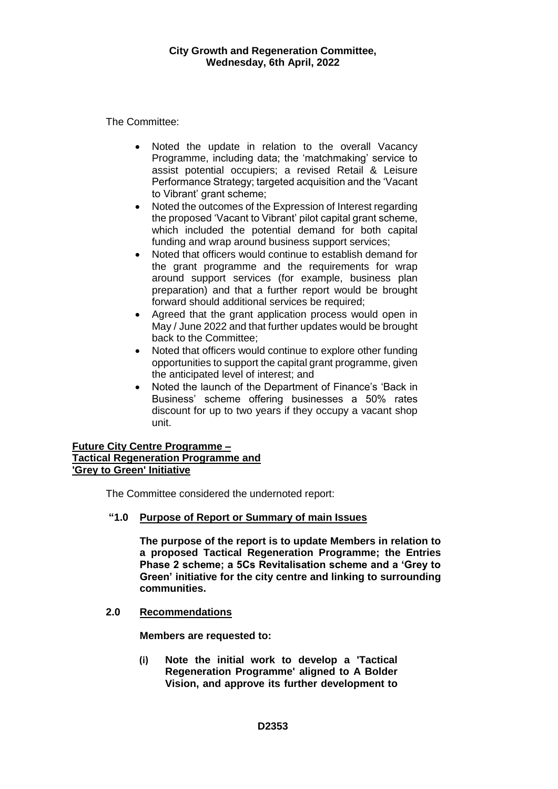The Committee:

- Noted the update in relation to the overall Vacancy Programme, including data; the 'matchmaking' service to assist potential occupiers; a revised Retail & Leisure Performance Strategy; targeted acquisition and the 'Vacant to Vibrant' grant scheme;
- Noted the outcomes of the Expression of Interest regarding the proposed 'Vacant to Vibrant' pilot capital grant scheme, which included the potential demand for both capital funding and wrap around business support services;
- Noted that officers would continue to establish demand for the grant programme and the requirements for wrap around support services (for example, business plan preparation) and that a further report would be brought forward should additional services be required;
- Agreed that the grant application process would open in May / June 2022 and that further updates would be brought back to the Committee;
- Noted that officers would continue to explore other funding opportunities to support the capital grant programme, given the anticipated level of interest; and
- Noted the launch of the Department of Finance's 'Back in Business' scheme offering businesses a 50% rates discount for up to two years if they occupy a vacant shop unit.

## **Future City Centre Programme – Tactical Regeneration Programme and 'Grey to Green' Initiative**

The Committee considered the undernoted report:

## **"1.0 Purpose of Report or Summary of main Issues**

**The purpose of the report is to update Members in relation to a proposed Tactical Regeneration Programme; the Entries Phase 2 scheme; a 5Cs Revitalisation scheme and a 'Grey to Green' initiative for the city centre and linking to surrounding communities.**

## **2.0 Recommendations**

**Members are requested to:**

**(i) Note the initial work to develop a 'Tactical Regeneration Programme' aligned to A Bolder Vision, and approve its further development to**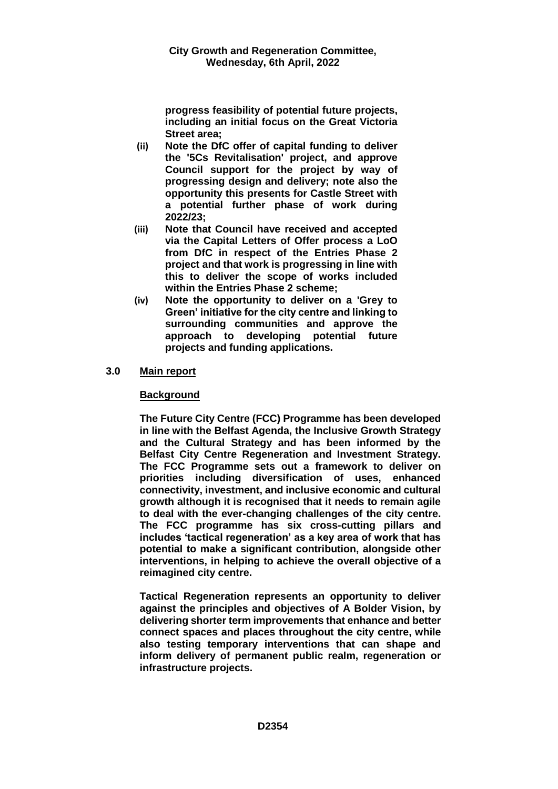**progress feasibility of potential future projects, including an initial focus on the Great Victoria Street area;** 

- **(ii) Note the DfC offer of capital funding to deliver the '5Cs Revitalisation' project, and approve Council support for the project by way of progressing design and delivery; note also the opportunity this presents for Castle Street with a potential further phase of work during 2022/23;**
- **(iii) Note that Council have received and accepted via the Capital Letters of Offer process a LoO from DfC in respect of the Entries Phase 2 project and that work is progressing in line with this to deliver the scope of works included within the Entries Phase 2 scheme;**
- **(iv) Note the opportunity to deliver on a 'Grey to Green' initiative for the city centre and linking to surrounding communities and approve the approach to developing potential future projects and funding applications.**

## **3.0 Main report**

## **Background**

**The Future City Centre (FCC) Programme has been developed in line with the Belfast Agenda, the Inclusive Growth Strategy and the Cultural Strategy and has been informed by the Belfast City Centre Regeneration and Investment Strategy. The FCC Programme sets out a framework to deliver on priorities including diversification of uses, enhanced connectivity, investment, and inclusive economic and cultural growth although it is recognised that it needs to remain agile to deal with the ever-changing challenges of the city centre. The FCC programme has six cross-cutting pillars and includes 'tactical regeneration' as a key area of work that has potential to make a significant contribution, alongside other interventions, in helping to achieve the overall objective of a reimagined city centre.** 

**Tactical Regeneration represents an opportunity to deliver against the principles and objectives of A Bolder Vision, by delivering shorter term improvements that enhance and better connect spaces and places throughout the city centre, while also testing temporary interventions that can shape and inform delivery of permanent public realm, regeneration or infrastructure projects.**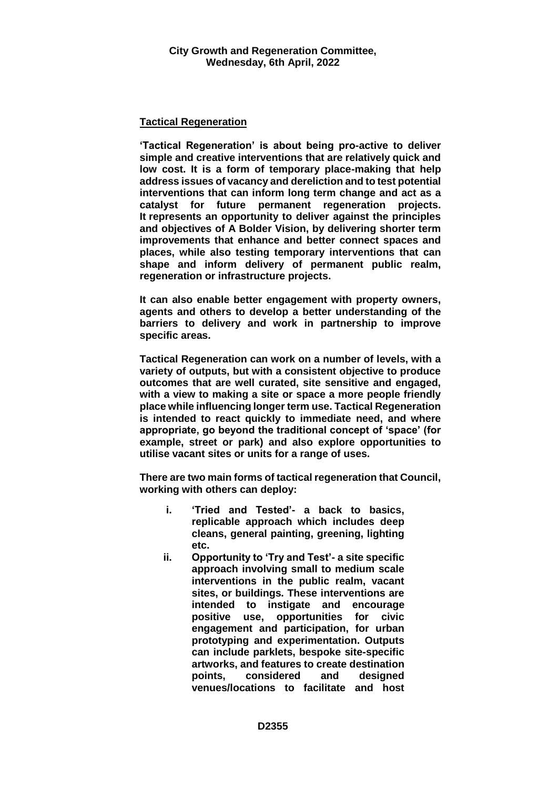## **Tactical Regeneration**

**'Tactical Regeneration' is about being pro-active to deliver simple and creative interventions that are relatively quick and low cost. It is a form of temporary place-making that help address issues of vacancy and dereliction and to test potential interventions that can inform long term change and act as a catalyst for future permanent regeneration projects. It represents an opportunity to deliver against the principles and objectives of A Bolder Vision, by delivering shorter term improvements that enhance and better connect spaces and places, while also testing temporary interventions that can shape and inform delivery of permanent public realm, regeneration or infrastructure projects.** 

**It can also enable better engagement with property owners, agents and others to develop a better understanding of the barriers to delivery and work in partnership to improve specific areas.**

**Tactical Regeneration can work on a number of levels, with a variety of outputs, but with a consistent objective to produce outcomes that are well curated, site sensitive and engaged, with a view to making a site or space a more people friendly place while influencing longer term use. Tactical Regeneration is intended to react quickly to immediate need, and where appropriate, go beyond the traditional concept of 'space' (for example, street or park) and also explore opportunities to utilise vacant sites or units for a range of uses.** 

**There are two main forms of tactical regeneration that Council, working with others can deploy:**

- **i. 'Tried and Tested'- a back to basics, replicable approach which includes deep cleans, general painting, greening, lighting etc.**
- **ii. Opportunity to 'Try and Test'- a site specific approach involving small to medium scale interventions in the public realm, vacant sites, or buildings. These interventions are intended to instigate and encourage positive use, opportunities for civic engagement and participation, for urban prototyping and experimentation. Outputs can include parklets, bespoke site-specific artworks, and features to create destination points, considered and designed venues/locations to facilitate and host**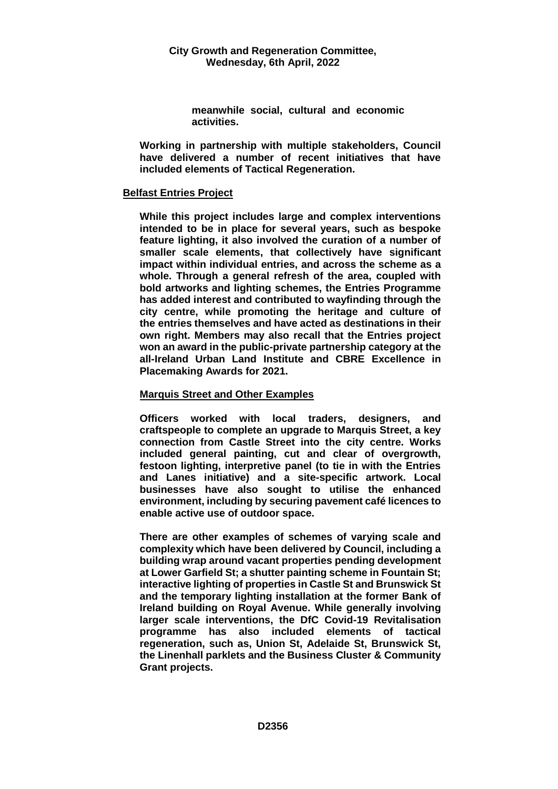**meanwhile social, cultural and economic activities.**

**Working in partnership with multiple stakeholders, Council have delivered a number of recent initiatives that have included elements of Tactical Regeneration.**

## **Belfast Entries Project**

**While this project includes large and complex interventions intended to be in place for several years, such as bespoke feature lighting, it also involved the curation of a number of smaller scale elements, that collectively have significant impact within individual entries, and across the scheme as a whole. Through a general refresh of the area, coupled with bold artworks and lighting schemes, the Entries Programme has added interest and contributed to wayfinding through the city centre, while promoting the heritage and culture of the entries themselves and have acted as destinations in their own right. Members may also recall that the Entries project won an award in the public-private partnership category at the all-Ireland Urban Land Institute and CBRE Excellence in Placemaking Awards for 2021.**

## **Marquis Street and Other Examples**

**Officers worked with local traders, designers, and craftspeople to complete an upgrade to Marquis Street, a key connection from Castle Street into the city centre. Works included general painting, cut and clear of overgrowth, festoon lighting, interpretive panel (to tie in with the Entries and Lanes initiative) and a site-specific artwork. Local businesses have also sought to utilise the enhanced environment, including by securing pavement café licences to enable active use of outdoor space.**

**There are other examples of schemes of varying scale and complexity which have been delivered by Council, including a building wrap around vacant properties pending development at Lower Garfield St; a shutter painting scheme in Fountain St; interactive lighting of properties in Castle St and Brunswick St and the temporary lighting installation at the former Bank of Ireland building on Royal Avenue. While generally involving larger scale interventions, the DfC Covid-19 Revitalisation programme has also included elements of tactical regeneration, such as, Union St, Adelaide St, Brunswick St, the Linenhall parklets and the Business Cluster & Community Grant projects.**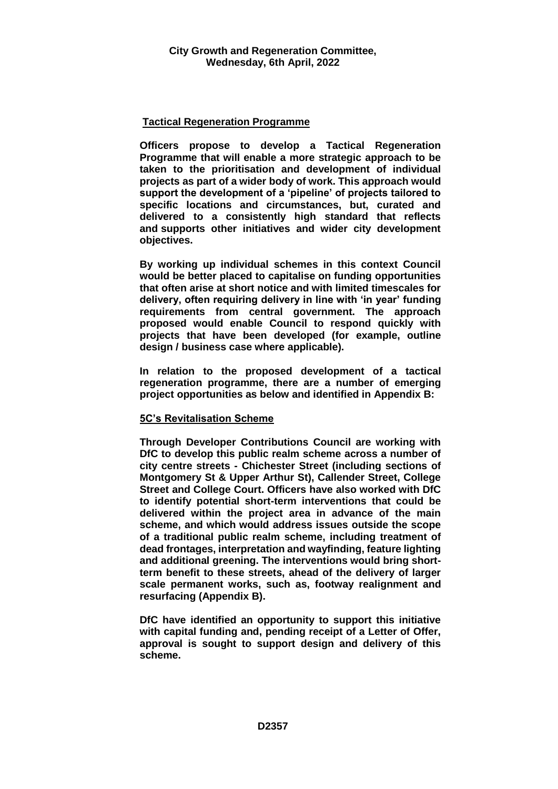## **Tactical Regeneration Programme**

**Officers propose to develop a Tactical Regeneration Programme that will enable a more strategic approach to be taken to the prioritisation and development of individual projects as part of a wider body of work. This approach would support the development of a 'pipeline' of projects tailored to specific locations and circumstances, but, curated and delivered to a consistently high standard that reflects and supports other initiatives and wider city development objectives.** 

**By working up individual schemes in this context Council would be better placed to capitalise on funding opportunities that often arise at short notice and with limited timescales for delivery, often requiring delivery in line with 'in year' funding requirements from central government. The approach proposed would enable Council to respond quickly with projects that have been developed (for example, outline design / business case where applicable).** 

**In relation to the proposed development of a tactical regeneration programme, there are a number of emerging project opportunities as below and identified in Appendix B:** 

#### **5C's Revitalisation Scheme**

**Through Developer Contributions Council are working with DfC to develop this public realm scheme across a number of city centre streets - Chichester Street (including sections of Montgomery St & Upper Arthur St), Callender Street, College Street and College Court. Officers have also worked with DfC to identify potential short-term interventions that could be delivered within the project area in advance of the main scheme, and which would address issues outside the scope of a traditional public realm scheme, including treatment of dead frontages, interpretation and wayfinding, feature lighting and additional greening. The interventions would bring shortterm benefit to these streets, ahead of the delivery of larger scale permanent works, such as, footway realignment and resurfacing (Appendix B).** 

**DfC have identified an opportunity to support this initiative with capital funding and, pending receipt of a Letter of Offer, approval is sought to support design and delivery of this scheme.**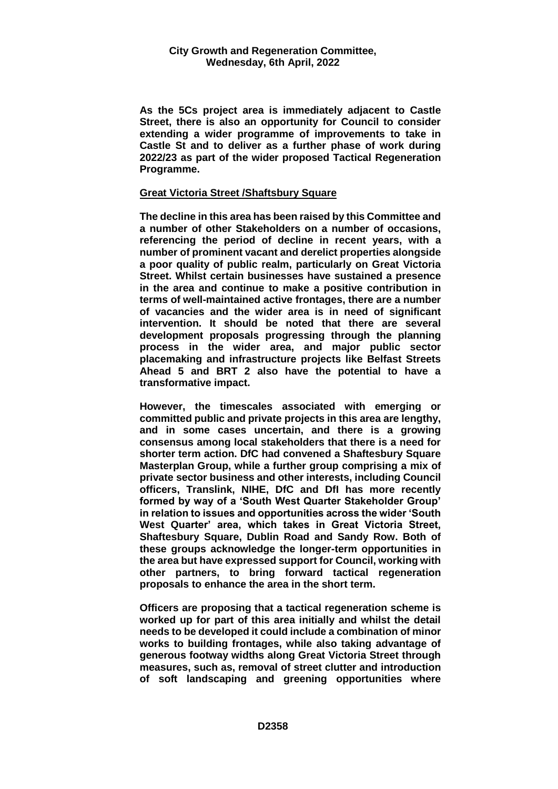**As the 5Cs project area is immediately adjacent to Castle Street, there is also an opportunity for Council to consider extending a wider programme of improvements to take in Castle St and to deliver as a further phase of work during 2022/23 as part of the wider proposed Tactical Regeneration Programme.** 

#### **Great Victoria Street /Shaftsbury Square**

**The decline in this area has been raised by this Committee and a number of other Stakeholders on a number of occasions, referencing the period of decline in recent years, with a number of prominent vacant and derelict properties alongside a poor quality of public realm, particularly on Great Victoria Street. Whilst certain businesses have sustained a presence in the area and continue to make a positive contribution in terms of well-maintained active frontages, there are a number of vacancies and the wider area is in need of significant intervention. It should be noted that there are several development proposals progressing through the planning process in the wider area, and major public sector placemaking and infrastructure projects like Belfast Streets Ahead 5 and BRT 2 also have the potential to have a transformative impact.** 

**However, the timescales associated with emerging or committed public and private projects in this area are lengthy, and in some cases uncertain, and there is a growing consensus among local stakeholders that there is a need for shorter term action. DfC had convened a Shaftesbury Square Masterplan Group, while a further group comprising a mix of private sector business and other interests, including Council officers, Translink, NIHE, DfC and DfI has more recently formed by way of a 'South West Quarter Stakeholder Group' in relation to issues and opportunities across the wider 'South West Quarter' area, which takes in Great Victoria Street, Shaftesbury Square, Dublin Road and Sandy Row. Both of these groups acknowledge the longer-term opportunities in the area but have expressed support for Council, working with other partners, to bring forward tactical regeneration proposals to enhance the area in the short term.** 

**Officers are proposing that a tactical regeneration scheme is worked up for part of this area initially and whilst the detail needs to be developed it could include a combination of minor works to building frontages, while also taking advantage of generous footway widths along Great Victoria Street through measures, such as, removal of street clutter and introduction of soft landscaping and greening opportunities where**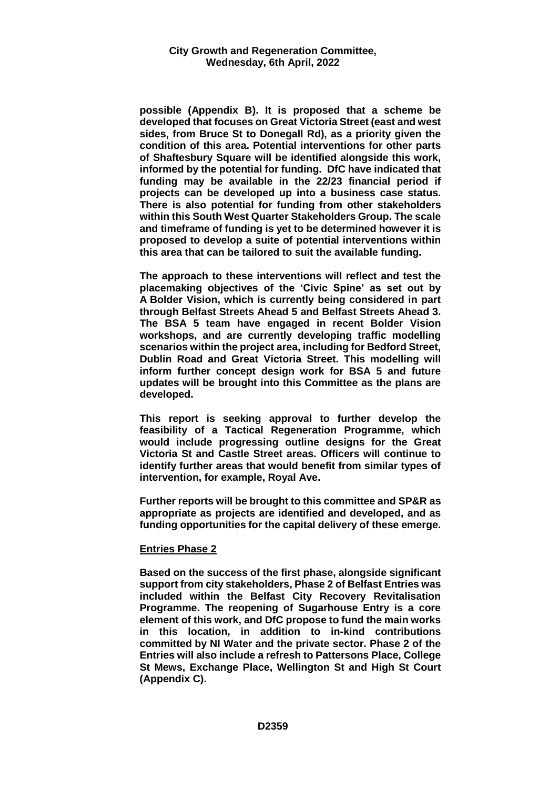**possible (Appendix B). It is proposed that a scheme be developed that focuses on Great Victoria Street (east and west sides, from Bruce St to Donegall Rd), as a priority given the condition of this area. Potential interventions for other parts of Shaftesbury Square will be identified alongside this work, informed by the potential for funding. DfC have indicated that funding may be available in the 22/23 financial period if projects can be developed up into a business case status. There is also potential for funding from other stakeholders within this South West Quarter Stakeholders Group. The scale and timeframe of funding is yet to be determined however it is proposed to develop a suite of potential interventions within this area that can be tailored to suit the available funding.** 

**The approach to these interventions will reflect and test the placemaking objectives of the 'Civic Spine' as set out by A Bolder Vision, which is currently being considered in part through Belfast Streets Ahead 5 and Belfast Streets Ahead 3. The BSA 5 team have engaged in recent Bolder Vision workshops, and are currently developing traffic modelling scenarios within the project area, including for Bedford Street, Dublin Road and Great Victoria Street. This modelling will inform further concept design work for BSA 5 and future updates will be brought into this Committee as the plans are developed.**

**This report is seeking approval to further develop the feasibility of a Tactical Regeneration Programme, which would include progressing outline designs for the Great Victoria St and Castle Street areas. Officers will continue to identify further areas that would benefit from similar types of intervention, for example, Royal Ave.** 

**Further reports will be brought to this committee and SP&R as appropriate as projects are identified and developed, and as funding opportunities for the capital delivery of these emerge.** 

#### **Entries Phase 2**

**Based on the success of the first phase, alongside significant support from city stakeholders, Phase 2 of Belfast Entries was included within the Belfast City Recovery Revitalisation Programme. The reopening of Sugarhouse Entry is a core element of this work, and DfC propose to fund the main works in this location, in addition to in-kind contributions committed by NI Water and the private sector. Phase 2 of the Entries will also include a refresh to Pattersons Place, College St Mews, Exchange Place, Wellington St and High St Court (Appendix C).**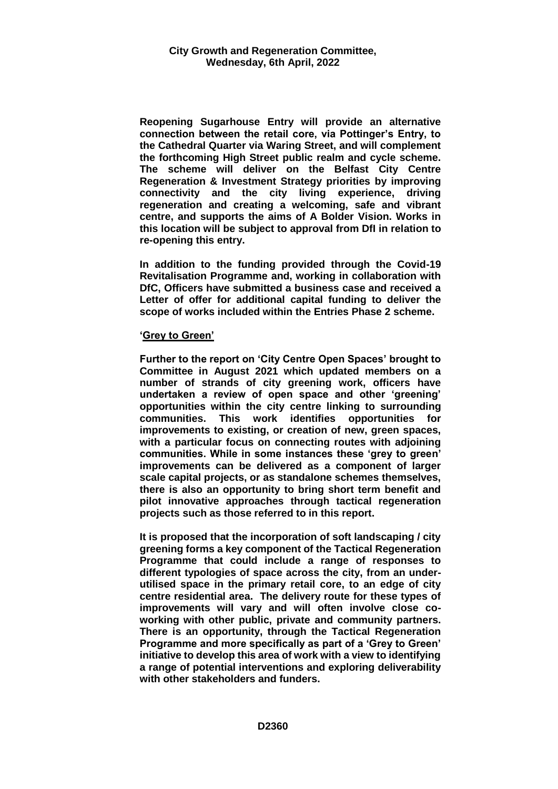**Reopening Sugarhouse Entry will provide an alternative connection between the retail core, via Pottinger's Entry, to the Cathedral Quarter via Waring Street, and will complement the forthcoming High Street public realm and cycle scheme. The scheme will deliver on the Belfast City Centre Regeneration & Investment Strategy priorities by improving connectivity and the city living experience, driving regeneration and creating a welcoming, safe and vibrant centre, and supports the aims of A Bolder Vision. Works in this location will be subject to approval from DfI in relation to re-opening this entry.** 

**In addition to the funding provided through the Covid-19 Revitalisation Programme and, working in collaboration with DfC, Officers have submitted a business case and received a Letter of offer for additional capital funding to deliver the scope of works included within the Entries Phase 2 scheme.** 

## **'Grey to Green'**

**Further to the report on 'City Centre Open Spaces' brought to Committee in August 2021 which updated members on a number of strands of city greening work, officers have undertaken a review of open space and other 'greening' opportunities within the city centre linking to surrounding communities. This work identifies opportunities for improvements to existing, or creation of new, green spaces, with a particular focus on connecting routes with adjoining communities. While in some instances these 'grey to green' improvements can be delivered as a component of larger scale capital projects, or as standalone schemes themselves, there is also an opportunity to bring short term benefit and pilot innovative approaches through tactical regeneration projects such as those referred to in this report.** 

**It is proposed that the incorporation of soft landscaping / city greening forms a key component of the Tactical Regeneration Programme that could include a range of responses to different typologies of space across the city, from an underutilised space in the primary retail core, to an edge of city centre residential area. The delivery route for these types of improvements will vary and will often involve close coworking with other public, private and community partners. There is an opportunity, through the Tactical Regeneration Programme and more specifically as part of a 'Grey to Green' initiative to develop this area of work with a view to identifying a range of potential interventions and exploring deliverability with other stakeholders and funders.**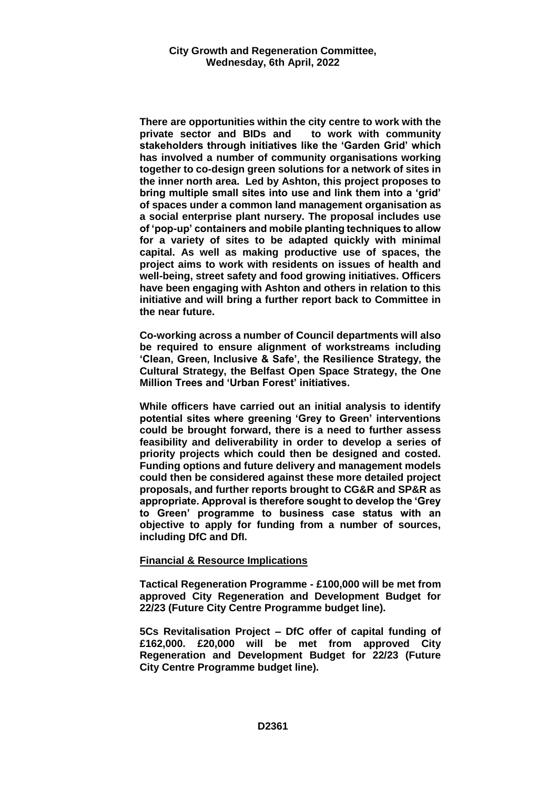**There are opportunities within the city centre to work with the private sector and BIDs and to work with community stakeholders through initiatives like the 'Garden Grid' which has involved a number of community organisations working together to co-design green solutions for a network of sites in the inner north area. Led by Ashton, this project proposes to bring multiple small sites into use and link them into a 'grid' of spaces under a common land management organisation as a social enterprise plant nursery. The proposal includes use of 'pop-up' containers and mobile planting techniques to allow for a variety of sites to be adapted quickly with minimal capital. As well as making productive use of spaces, the project aims to work with residents on issues of health and well-being, street safety and food growing initiatives. Officers have been engaging with Ashton and others in relation to this initiative and will bring a further report back to Committee in the near future.** 

**Co-working across a number of Council departments will also be required to ensure alignment of workstreams including 'Clean, Green, Inclusive & Safe', the Resilience Strategy, the Cultural Strategy, the Belfast Open Space Strategy, the One Million Trees and 'Urban Forest' initiatives.** 

**While officers have carried out an initial analysis to identify potential sites where greening 'Grey to Green' interventions could be brought forward, there is a need to further assess feasibility and deliverability in order to develop a series of priority projects which could then be designed and costed. Funding options and future delivery and management models could then be considered against these more detailed project proposals, and further reports brought to CG&R and SP&R as appropriate. Approval is therefore sought to develop the 'Grey to Green' programme to business case status with an objective to apply for funding from a number of sources, including DfC and DfI.** 

#### **Financial & Resource Implications**

**Tactical Regeneration Programme - £100,000 will be met from approved City Regeneration and Development Budget for 22/23 (Future City Centre Programme budget line).**

**5Cs Revitalisation Project – DfC offer of capital funding of £162,000. £20,000 will be met from approved City Regeneration and Development Budget for 22/23 (Future City Centre Programme budget line).**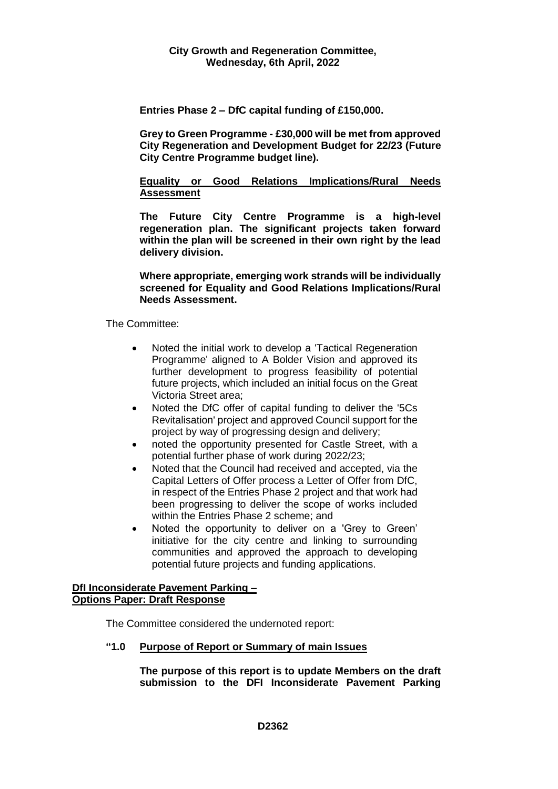**Entries Phase 2 – DfC capital funding of £150,000.**

**Grey to Green Programme - £30,000 will be met from approved City Regeneration and Development Budget for 22/23 (Future City Centre Programme budget line).**

## **Equality or Good Relations Implications/Rural Needs Assessment**

**The Future City Centre Programme is a high-level regeneration plan. The significant projects taken forward within the plan will be screened in their own right by the lead delivery division.** 

**Where appropriate, emerging work strands will be individually screened for Equality and Good Relations Implications/Rural Needs Assessment.**

The Committee:

- Noted the initial work to develop a 'Tactical Regeneration Programme' aligned to A Bolder Vision and approved its further development to progress feasibility of potential future projects, which included an initial focus on the Great Victoria Street area;
- Noted the DfC offer of capital funding to deliver the '5Cs Revitalisation' project and approved Council support for the project by way of progressing design and delivery;
- noted the opportunity presented for Castle Street, with a potential further phase of work during 2022/23;
- Noted that the Council had received and accepted, via the Capital Letters of Offer process a Letter of Offer from DfC, in respect of the Entries Phase 2 project and that work had been progressing to deliver the scope of works included within the Entries Phase 2 scheme; and
- Noted the opportunity to deliver on a 'Grey to Green' initiative for the city centre and linking to surrounding communities and approved the approach to developing potential future projects and funding applications.

## **DfI Inconsiderate Pavement Parking – Options Paper: Draft Response**

The Committee considered the undernoted report:

## **"1.0 Purpose of Report or Summary of main Issues**

**The purpose of this report is to update Members on the draft submission to the DFI Inconsiderate Pavement Parking**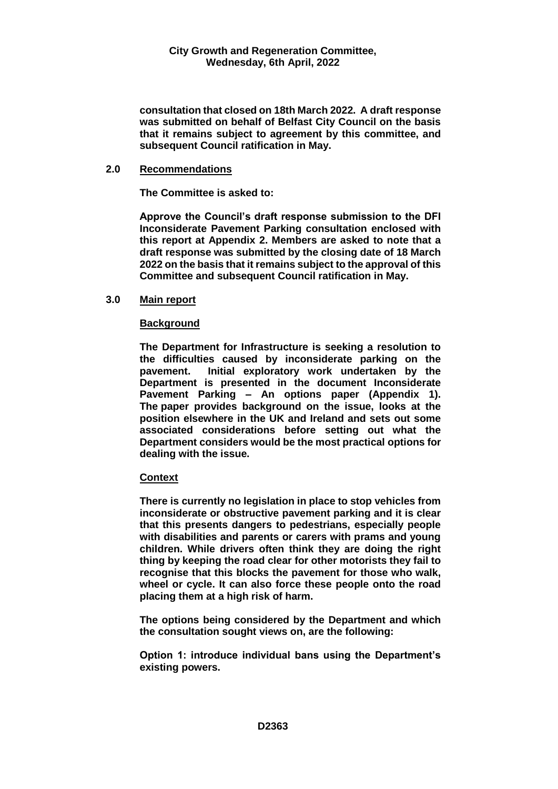**consultation that closed on 18th March 2022. A draft response was submitted on behalf of Belfast City Council on the basis that it remains subject to agreement by this committee, and subsequent Council ratification in May.**

#### **2.0 Recommendations**

**The Committee is asked to:** 

**Approve the Council's draft response submission to the DFI Inconsiderate Pavement Parking consultation enclosed with this report at Appendix 2. Members are asked to note that a draft response was submitted by the closing date of 18 March 2022 on the basis that it remains subject to the approval of this Committee and subsequent Council ratification in May.**

## **3.0 Main report**

## **Background**

**The Department for Infrastructure is seeking a resolution to the difficulties caused by inconsiderate parking on the pavement. Initial exploratory work undertaken by the Department is presented in the document Inconsiderate Pavement Parking – An options paper (Appendix 1). The paper provides background on the issue, looks at the position elsewhere in the UK and Ireland and sets out some associated considerations before setting out what the Department considers would be the most practical options for dealing with the issue.**

#### **Context**

**There is currently no legislation in place to stop vehicles from inconsiderate or obstructive pavement parking and it is clear that this presents dangers to pedestrians, especially people with disabilities and parents or carers with prams and young children. While drivers often think they are doing the right thing by keeping the road clear for other motorists they fail to recognise that this blocks the pavement for those who walk, wheel or cycle. It can also force these people onto the road placing them at a high risk of harm.** 

**The options being considered by the Department and which the consultation sought views on, are the following:** 

**Option 1: introduce individual bans using the Department's existing powers.**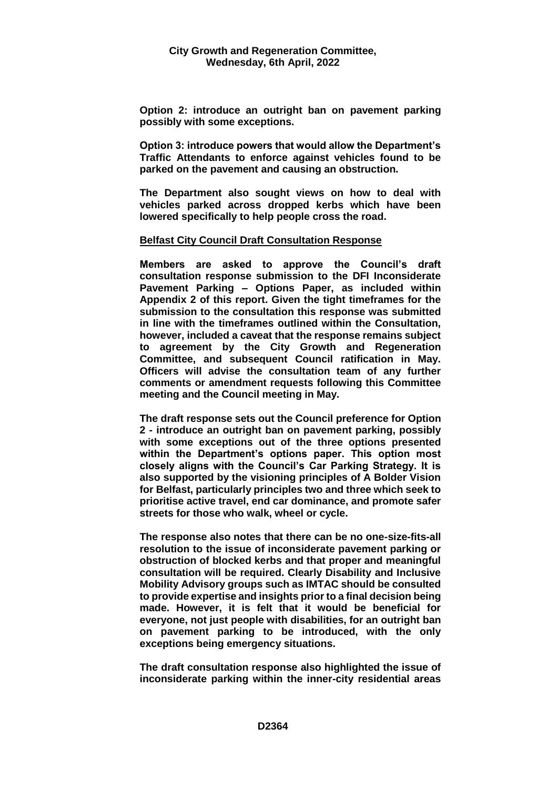**Option 2: introduce an outright ban on pavement parking possibly with some exceptions.**

**Option 3: introduce powers that would allow the Department's Traffic Attendants to enforce against vehicles found to be parked on the pavement and causing an obstruction.**

**The Department also sought views on how to deal with vehicles parked across dropped kerbs which have been lowered specifically to help people cross the road.**

## **Belfast City Council Draft Consultation Response**

**Members are asked to approve the Council's draft consultation response submission to the DFI Inconsiderate Pavement Parking – Options Paper, as included within Appendix 2 of this report. Given the tight timeframes for the submission to the consultation this response was submitted in line with the timeframes outlined within the Consultation, however, included a caveat that the response remains subject to agreement by the City Growth and Regeneration Committee, and subsequent Council ratification in May. Officers will advise the consultation team of any further comments or amendment requests following this Committee meeting and the Council meeting in May.** 

**The draft response sets out the Council preference for Option 2 - introduce an outright ban on pavement parking, possibly with some exceptions out of the three options presented within the Department's options paper. This option most closely aligns with the Council's Car Parking Strategy. It is also supported by the visioning principles of A Bolder Vision for Belfast, particularly principles two and three which seek to prioritise active travel, end car dominance, and promote safer streets for those who walk, wheel or cycle.** 

**The response also notes that there can be no one-size-fits-all resolution to the issue of inconsiderate pavement parking or obstruction of blocked kerbs and that proper and meaningful consultation will be required. Clearly Disability and Inclusive Mobility Advisory groups such as IMTAC should be consulted to provide expertise and insights prior to a final decision being made. However, it is felt that it would be beneficial for everyone, not just people with disabilities, for an outright ban on pavement parking to be introduced, with the only exceptions being emergency situations.**

**The draft consultation response also highlighted the issue of inconsiderate parking within the inner-city residential areas**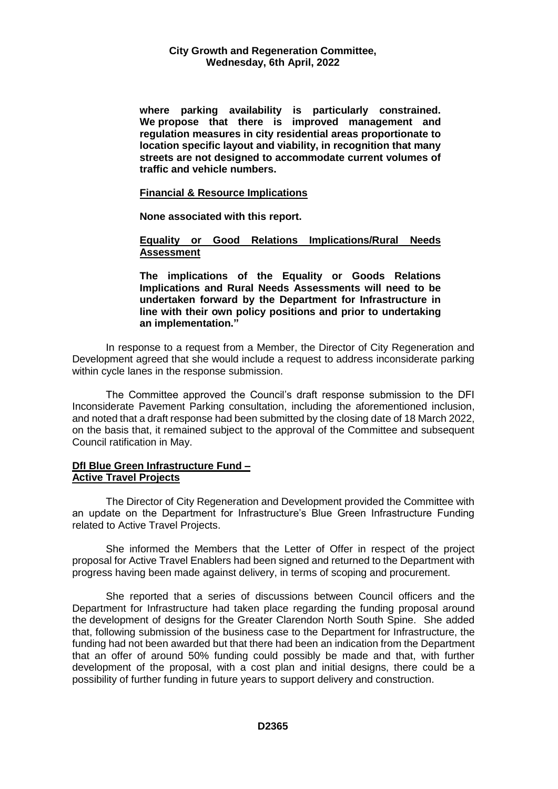**where parking availability is particularly constrained. We propose that there is improved management and regulation measures in city residential areas proportionate to location specific layout and viability, in recognition that many streets are not designed to accommodate current volumes of traffic and vehicle numbers.**

#### **Financial & Resource Implications**

**None associated with this report.**

**Equality or Good Relations Implications/Rural Needs Assessment**

**The implications of the Equality or Goods Relations Implications and Rural Needs Assessments will need to be undertaken forward by the Department for Infrastructure in line with their own policy positions and prior to undertaking an implementation."**

In response to a request from a Member, the Director of City Regeneration and Development agreed that she would include a request to address inconsiderate parking within cycle lanes in the response submission.

The Committee approved the Council's draft response submission to the DFI Inconsiderate Pavement Parking consultation, including the aforementioned inclusion, and noted that a draft response had been submitted by the closing date of 18 March 2022, on the basis that, it remained subject to the approval of the Committee and subsequent Council ratification in May.

## **DfI Blue Green Infrastructure Fund – Active Travel Projects**

The Director of City Regeneration and Development provided the Committee with an update on the Department for Infrastructure's Blue Green Infrastructure Funding related to Active Travel Projects.

She informed the Members that the Letter of Offer in respect of the project proposal for Active Travel Enablers had been signed and returned to the Department with progress having been made against delivery, in terms of scoping and procurement.

She reported that a series of discussions between Council officers and the Department for Infrastructure had taken place regarding the funding proposal around the development of designs for the Greater Clarendon North South Spine. She added that, following submission of the business case to the Department for Infrastructure, the funding had not been awarded but that there had been an indication from the Department that an offer of around 50% funding could possibly be made and that, with further development of the proposal, with a cost plan and initial designs, there could be a possibility of further funding in future years to support delivery and construction.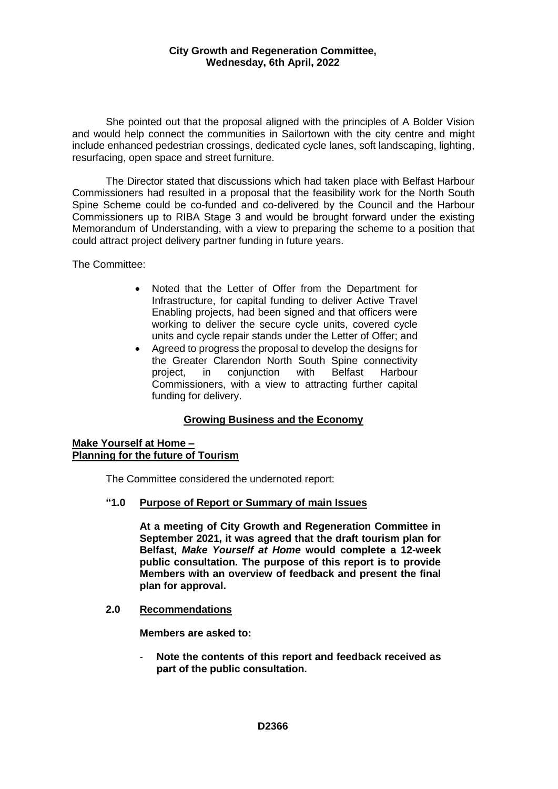She pointed out that the proposal aligned with the principles of A Bolder Vision and would help connect the communities in Sailortown with the city centre and might include enhanced pedestrian crossings, dedicated cycle lanes, soft landscaping, lighting, resurfacing, open space and street furniture.

The Director stated that discussions which had taken place with Belfast Harbour Commissioners had resulted in a proposal that the feasibility work for the North South Spine Scheme could be co-funded and co-delivered by the Council and the Harbour Commissioners up to RIBA Stage 3 and would be brought forward under the existing Memorandum of Understanding, with a view to preparing the scheme to a position that could attract project delivery partner funding in future years.

The Committee:

- Noted that the Letter of Offer from the Department for Infrastructure, for capital funding to deliver Active Travel Enabling projects, had been signed and that officers were working to deliver the secure cycle units, covered cycle units and cycle repair stands under the Letter of Offer; and
- Agreed to progress the proposal to develop the designs for the Greater Clarendon North South Spine connectivity project, in conjunction with Belfast Harbour Commissioners, with a view to attracting further capital funding for delivery.

## **Growing Business and the Economy**

#### **Make Yourself at Home – Planning for the future of Tourism**

The Committee considered the undernoted report:

**"1.0 Purpose of Report or Summary of main Issues**

**At a meeting of City Growth and Regeneration Committee in September 2021, it was agreed that the draft tourism plan for Belfast,** *Make Yourself at Home* **would complete a 12-week public consultation. The purpose of this report is to provide Members with an overview of feedback and present the final plan for approval.** 

**2.0 Recommendations**

**Members are asked to:** 

- **Note the contents of this report and feedback received as part of the public consultation.**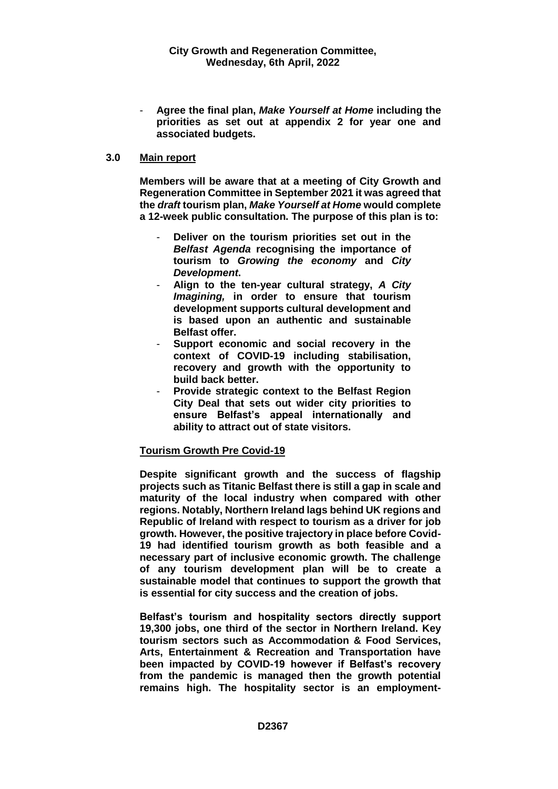- **Agree the final plan,** *Make Yourself at Home* **including the priorities as set out at appendix 2 for year one and associated budgets.** 

#### **3.0 Main report**

**Members will be aware that at a meeting of City Growth and Regeneration Committee in September 2021 it was agreed that the** *draft* **tourism plan,** *Make Yourself at Home* **would complete a 12-week public consultation. The purpose of this plan is to:**

- Deliver on the tourism priorities set out in the *Belfast Agenda* **recognising the importance of tourism to** *Growing the economy* **and** *City Development***.**
- **Align to the ten-year cultural strategy,** *A City Imagining,* **in order to ensure that tourism development supports cultural development and is based upon an authentic and sustainable Belfast offer.**
- **Support economic and social recovery in the context of COVID-19 including stabilisation, recovery and growth with the opportunity to build back better.**
- **Provide strategic context to the Belfast Region City Deal that sets out wider city priorities to ensure Belfast's appeal internationally and ability to attract out of state visitors.**

#### **Tourism Growth Pre Covid-19**

**Despite significant growth and the success of flagship projects such as Titanic Belfast there is still a gap in scale and maturity of the local industry when compared with other regions. Notably, Northern Ireland lags behind UK regions and Republic of Ireland with respect to tourism as a driver for job growth. However, the positive trajectory in place before Covid-19 had identified tourism growth as both feasible and a necessary part of inclusive economic growth. The challenge of any tourism development plan will be to create a sustainable model that continues to support the growth that is essential for city success and the creation of jobs.** 

**Belfast's tourism and hospitality sectors directly support 19,300 jobs, one third of the sector in Northern Ireland. Key tourism sectors such as Accommodation & Food Services, Arts, Entertainment & Recreation and Transportation have been impacted by COVID-19 however if Belfast's recovery from the pandemic is managed then the growth potential remains high. The hospitality sector is an employment-**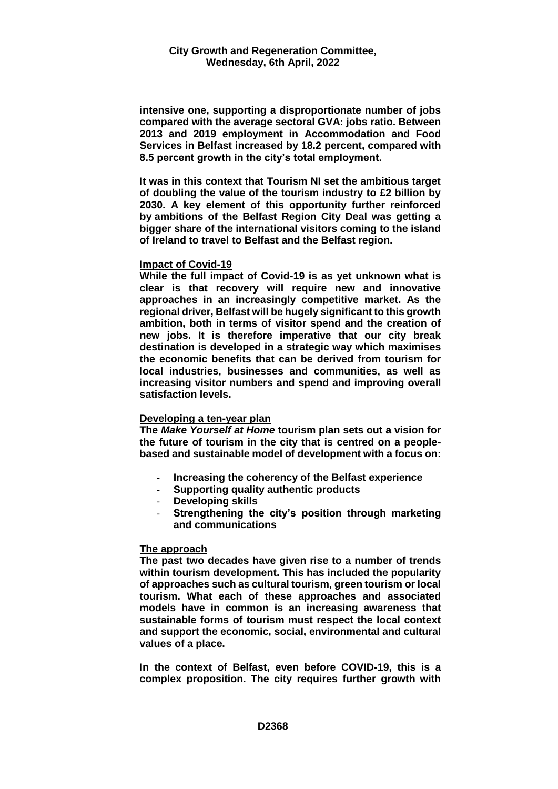**intensive one, supporting a disproportionate number of jobs compared with the average sectoral GVA: jobs ratio. Between 2013 and 2019 employment in Accommodation and Food Services in Belfast increased by 18.2 percent, compared with 8.5 percent growth in the city's total employment.**

**It was in this context that Tourism NI set the ambitious target of doubling the value of the tourism industry to £2 billion by 2030. A key element of this opportunity further reinforced by ambitions of the Belfast Region City Deal was getting a bigger share of the international visitors coming to the island of Ireland to travel to Belfast and the Belfast region.** 

#### **Impact of Covid-19**

**While the full impact of Covid-19 is as yet unknown what is clear is that recovery will require new and innovative approaches in an increasingly competitive market. As the regional driver, Belfast will be hugely significant to this growth ambition, both in terms of visitor spend and the creation of new jobs. It is therefore imperative that our city break destination is developed in a strategic way which maximises the economic benefits that can be derived from tourism for local industries, businesses and communities, as well as increasing visitor numbers and spend and improving overall satisfaction levels.** 

#### **Developing a ten-year plan**

**The** *Make Yourself at Home* **tourism plan sets out a vision for the future of tourism in the city that is centred on a peoplebased and sustainable model of development with a focus on:**

- **Increasing the coherency of the Belfast experience**
- **Supporting quality authentic products**
- **Developing skills**
- **Strengthening the city's position through marketing and communications**

#### **The approach**

**The past two decades have given rise to a number of trends within tourism development. This has included the popularity of approaches such as cultural tourism, green tourism or local tourism. What each of these approaches and associated models have in common is an increasing awareness that sustainable forms of tourism must respect the local context and support the economic, social, environmental and cultural values of a place.** 

**In the context of Belfast, even before COVID-19, this is a complex proposition. The city requires further growth with**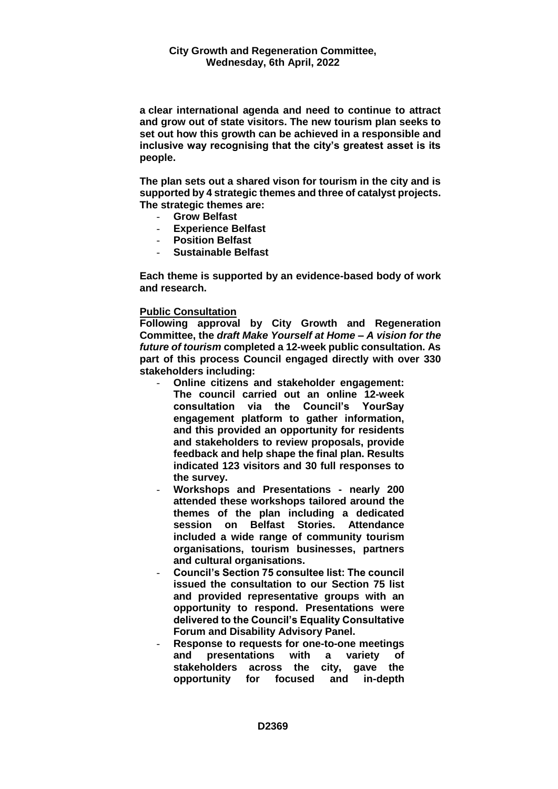**a clear international agenda and need to continue to attract and grow out of state visitors. The new tourism plan seeks to set out how this growth can be achieved in a responsible and inclusive way recognising that the city's greatest asset is its people.** 

**The plan sets out a shared vison for tourism in the city and is supported by 4 strategic themes and three of catalyst projects. The strategic themes are:**

- **Grow Belfast**
- **Experience Belfast**
- **Position Belfast**
- **Sustainable Belfast**

**Each theme is supported by an evidence-based body of work and research.**

#### **Public Consultation**

**Following approval by City Growth and Regeneration Committee, the** *draft Make Yourself at Home – A vision for the future of tourism* **completed a 12-week public consultation. As part of this process Council engaged directly with over 330 stakeholders including:**

- **Online citizens and stakeholder engagement: The council carried out an online 12-week consultation via the Council's YourSay engagement platform to gather information, and this provided an opportunity for residents and stakeholders to review proposals, provide feedback and help shape the final plan. Results indicated 123 visitors and 30 full responses to the survey.**
- **Workshops and Presentations - nearly 200 attended these workshops tailored around the themes of the plan including a dedicated session on Belfast Stories. Attendance included a wide range of community tourism organisations, tourism businesses, partners and cultural organisations.**
- **Council's Section 75 consultee list: The council issued the consultation to our Section 75 list and provided representative groups with an opportunity to respond. Presentations were delivered to the Council's Equality Consultative Forum and Disability Advisory Panel.**
- **Response to requests for one-to-one meetings and presentations with a variety of stakeholders across the city, gave the opportunity for focused and in-depth**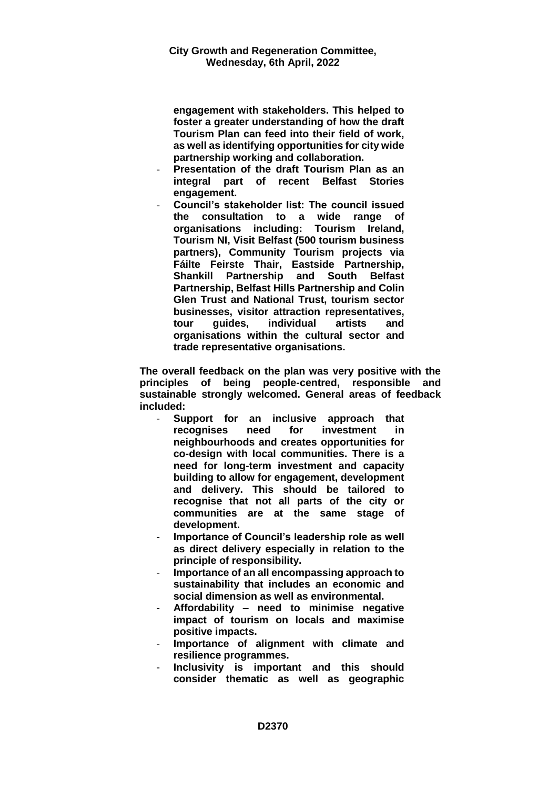**engagement with stakeholders. This helped to foster a greater understanding of how the draft Tourism Plan can feed into their field of work, as well as identifying opportunities for city wide partnership working and collaboration.**

- **Presentation of the draft Tourism Plan as an integral part of recent Belfast Stories engagement.**
- **Council's stakeholder list: The council issued the consultation to a wide range of organisations including: Tourism Ireland, Tourism NI, Visit Belfast (500 tourism business partners), Community Tourism projects via Fáilte Feirste Thair, Eastside Partnership, Shankill Partnership and South Belfast Partnership, Belfast Hills Partnership and Colin Glen Trust and National Trust, tourism sector businesses, visitor attraction representatives, tour guides, individual artists and organisations within the cultural sector and trade representative organisations.**

**The overall feedback on the plan was very positive with the principles of being people-centred, responsible and sustainable strongly welcomed. General areas of feedback included:** 

- **Support for an inclusive approach that recognises need for investment in neighbourhoods and creates opportunities for co-design with local communities. There is a need for long-term investment and capacity building to allow for engagement, development and delivery. This should be tailored to recognise that not all parts of the city or communities are at the same stage of development.**
- **Importance of Council's leadership role as well as direct delivery especially in relation to the principle of responsibility.**
- **Importance of an all encompassing approach to sustainability that includes an economic and social dimension as well as environmental.**
- **Affordability – need to minimise negative impact of tourism on locals and maximise positive impacts.**
- **Importance of alignment with climate and resilience programmes.**
- **Inclusivity is important and this should consider thematic as well as geographic**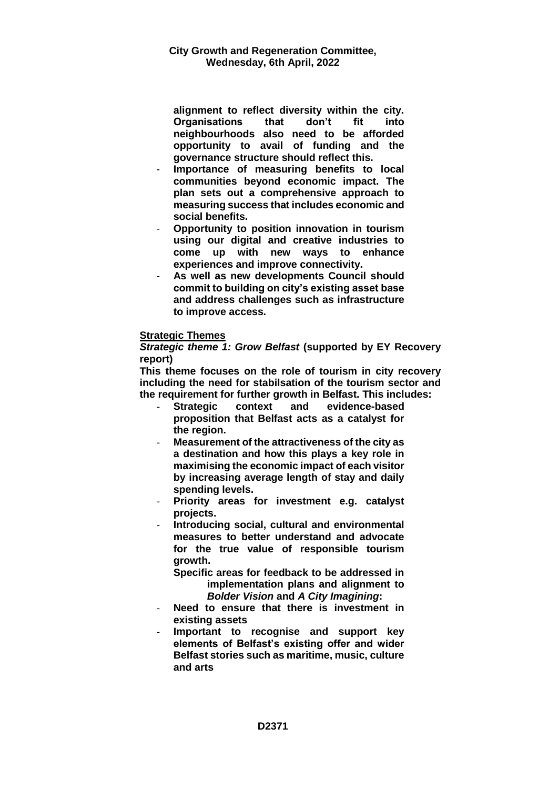**alignment to reflect diversity within the city. Organisations that don't fit into neighbourhoods also need to be afforded opportunity to avail of funding and the governance structure should reflect this.** 

- **Importance of measuring benefits to local communities beyond economic impact. The plan sets out a comprehensive approach to measuring success that includes economic and social benefits.**
- **Opportunity to position innovation in tourism using our digital and creative industries to come up with new ways to enhance experiences and improve connectivity.**
- **As well as new developments Council should commit to building on city's existing asset base and address challenges such as infrastructure to improve access.**

## **Strategic Themes**

*Strategic theme 1: Grow Belfast* **(supported by EY Recovery report)**

**This theme focuses on the role of tourism in city recovery including the need for stabilsation of the tourism sector and the requirement for further growth in Belfast. This includes:**

- **Strategic context and evidence-based proposition that Belfast acts as a catalyst for the region.**
- **Measurement of the attractiveness of the city as a destination and how this plays a key role in maximising the economic impact of each visitor by increasing average length of stay and daily spending levels.**
- **Priority areas for investment e.g. catalyst projects.**
- **Introducing social, cultural and environmental measures to better understand and advocate for the true value of responsible tourism growth.**

**Specific areas for feedback to be addressed in implementation plans and alignment to**  *Bolder Vision* **and** *A City Imagining***:**

- **Need to ensure that there is investment in existing assets**
- **Important to recognise and support key elements of Belfast's existing offer and wider Belfast stories such as maritime, music, culture and arts**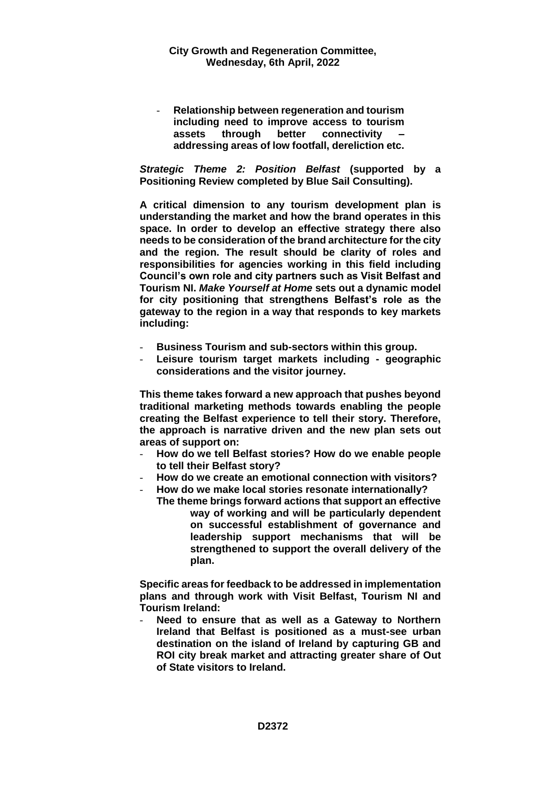- **Relationship between regeneration and tourism including need to improve access to tourism assets through better connectivity – addressing areas of low footfall, dereliction etc.** 

*Strategic Theme 2: Position Belfast* **(supported by a Positioning Review completed by Blue Sail Consulting).**

**A critical dimension to any tourism development plan is understanding the market and how the brand operates in this space. In order to develop an effective strategy there also needs to be consideration of the brand architecture for the city and the region. The result should be clarity of roles and responsibilities for agencies working in this field including Council's own role and city partners such as Visit Belfast and Tourism NI.** *Make Yourself at Home* **sets out a dynamic model for city positioning that strengthens Belfast's role as the gateway to the region in a way that responds to key markets including:**

- **Business Tourism and sub-sectors within this group.**
- **Leisure tourism target markets including - geographic considerations and the visitor journey.**

**This theme takes forward a new approach that pushes beyond traditional marketing methods towards enabling the people creating the Belfast experience to tell their story. Therefore, the approach is narrative driven and the new plan sets out areas of support on:**

- **How do we tell Belfast stories? How do we enable people to tell their Belfast story?**
- **How do we create an emotional connection with visitors?**
- **How do we make local stories resonate internationally?**
	- **The theme brings forward actions that support an effective way of working and will be particularly dependent on successful establishment of governance and leadership support mechanisms that will be strengthened to support the overall delivery of the plan.**

**Specific areas for feedback to be addressed in implementation plans and through work with Visit Belfast, Tourism NI and Tourism Ireland:**

- **Need to ensure that as well as a Gateway to Northern Ireland that Belfast is positioned as a must-see urban destination on the island of Ireland by capturing GB and ROI city break market and attracting greater share of Out of State visitors to Ireland.**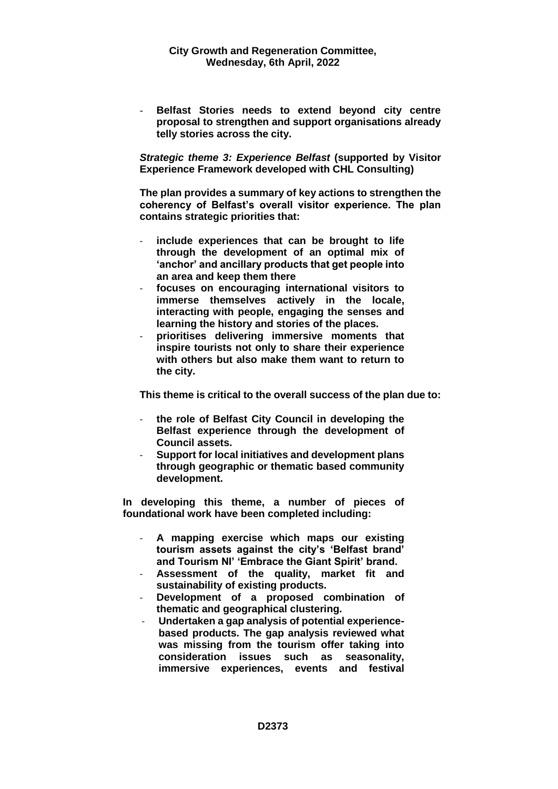- **Belfast Stories needs to extend beyond city centre proposal to strengthen and support organisations already telly stories across the city.** 

*Strategic theme 3: Experience Belfast* **(supported by Visitor Experience Framework developed with CHL Consulting)**

**The plan provides a summary of key actions to strengthen the coherency of Belfast's overall visitor experience. The plan contains strategic priorities that:** 

- include experiences that can be brought to life **through the development of an optimal mix of 'anchor' and ancillary products that get people into an area and keep them there**
- **focuses on encouraging international visitors to immerse themselves actively in the locale, interacting with people, engaging the senses and learning the history and stories of the places.**
- **prioritises delivering immersive moments that inspire tourists not only to share their experience with others but also make them want to return to the city.**

**This theme is critical to the overall success of the plan due to:**

- **the role of Belfast City Council in developing the Belfast experience through the development of Council assets.**
- **Support for local initiatives and development plans through geographic or thematic based community development.**

**In developing this theme, a number of pieces of foundational work have been completed including:** 

- **A mapping exercise which maps our existing tourism assets against the city's 'Belfast brand' and Tourism NI' 'Embrace the Giant Spirit' brand.**
- **Assessment of the quality, market fit and sustainability of existing products.**
- **Development of a proposed combination of thematic and geographical clustering.**
- **Undertaken a gap analysis of potential experiencebased products. The gap analysis reviewed what was missing from the tourism offer taking into consideration issues such as seasonality, immersive experiences, events and festival**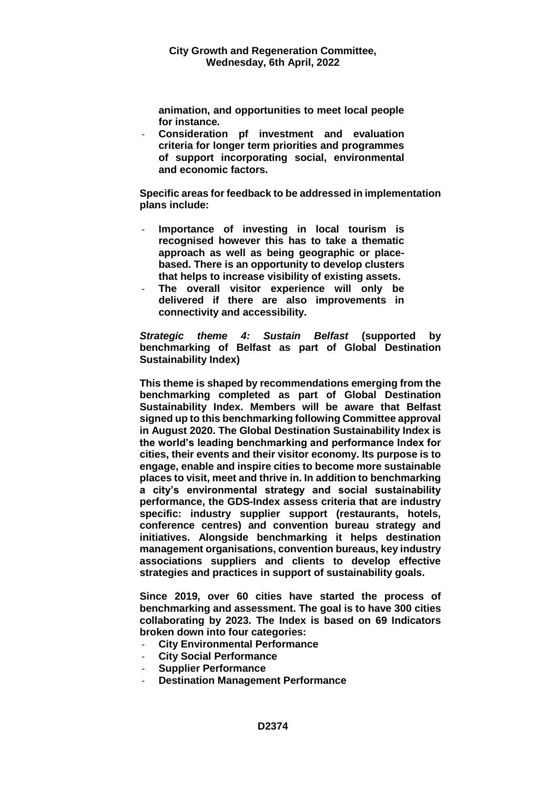**animation, and opportunities to meet local people for instance.**

- **Consideration pf investment and evaluation criteria for longer term priorities and programmes of support incorporating social, environmental and economic factors.**

**Specific areas for feedback to be addressed in implementation plans include:** 

- **Importance of investing in local tourism is recognised however this has to take a thematic approach as well as being geographic or placebased. There is an opportunity to develop clusters that helps to increase visibility of existing assets.**
- **The overall visitor experience will only be delivered if there are also improvements in connectivity and accessibility.**

*Strategic theme 4: Sustain Belfast* **(supported by benchmarking of Belfast as part of Global Destination Sustainability Index)**

**This theme is shaped by recommendations emerging from the benchmarking completed as part of Global Destination Sustainability Index. Members will be aware that Belfast signed up to this benchmarking following Committee approval in August 2020. The Global Destination Sustainability Index is the world's leading benchmarking and performance Index for cities, their events and their visitor economy. Its purpose is to engage, enable and inspire cities to become more sustainable places to visit, meet and thrive in. In addition to benchmarking a city's environmental strategy and social sustainability performance, the GDS-Index assess criteria that are industry specific: industry supplier support (restaurants, hotels, conference centres) and convention bureau strategy and initiatives. Alongside benchmarking it helps destination management organisations, convention bureaus, key industry associations suppliers and clients to develop effective strategies and practices in support of sustainability goals.**

**Since 2019, over 60 cities have started the process of benchmarking and assessment. The goal is to have 300 cities collaborating by 2023. The Index is based on 69 Indicators broken down into four categories:**

- **City Environmental Performance**
- **City Social Performance**
- **Supplier Performance**
- **Destination Management Performance**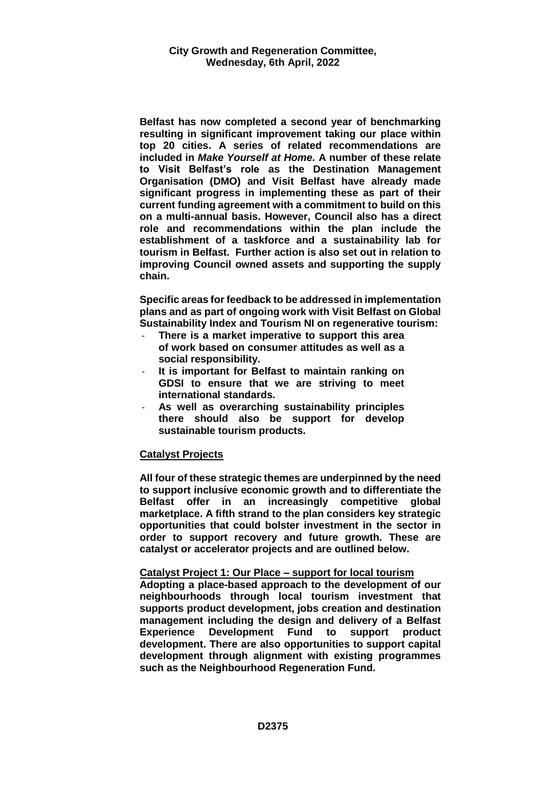**Belfast has now completed a second year of benchmarking resulting in significant improvement taking our place within top 20 cities. A series of related recommendations are included in** *Make Yourself at Home.* **A number of these relate to Visit Belfast's role as the Destination Management Organisation (DMO) and Visit Belfast have already made significant progress in implementing these as part of their current funding agreement with a commitment to build on this on a multi-annual basis. However, Council also has a direct role and recommendations within the plan include the establishment of a taskforce and a sustainability lab for tourism in Belfast. Further action is also set out in relation to improving Council owned assets and supporting the supply chain.** 

**Specific areas for feedback to be addressed in implementation plans and as part of ongoing work with Visit Belfast on Global Sustainability Index and Tourism NI on regenerative tourism:**

- **There is a market imperative to support this area of work based on consumer attitudes as well as a social responsibility.**
- **It is important for Belfast to maintain ranking on GDSI to ensure that we are striving to meet international standards.**
- **As well as overarching sustainability principles there should also be support for develop sustainable tourism products.**

## **Catalyst Projects**

**All four of these strategic themes are underpinned by the need to support inclusive economic growth and to differentiate the Belfast offer in an increasingly competitive global marketplace. A fifth strand to the plan considers key strategic opportunities that could bolster investment in the sector in order to support recovery and future growth. These are catalyst or accelerator projects and are outlined below.**

#### **Catalyst Project 1: Our Place – support for local tourism**

**Adopting a place-based approach to the development of our neighbourhoods through local tourism investment that supports product development, jobs creation and destination management including the design and delivery of a Belfast Experience Development Fund to support product development. There are also opportunities to support capital development through alignment with existing programmes such as the Neighbourhood Regeneration Fund.**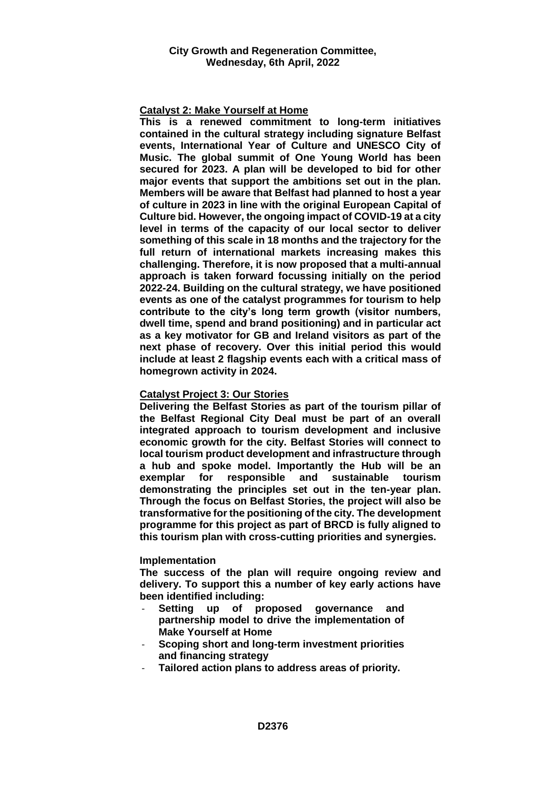#### **Catalyst 2: Make Yourself at Home**

**This is a renewed commitment to long-term initiatives contained in the cultural strategy including signature Belfast events, International Year of Culture and UNESCO City of Music. The global summit of One Young World has been secured for 2023. A plan will be developed to bid for other major events that support the ambitions set out in the plan. Members will be aware that Belfast had planned to host a year of culture in 2023 in line with the original European Capital of Culture bid. However, the ongoing impact of COVID-19 at a city level in terms of the capacity of our local sector to deliver something of this scale in 18 months and the trajectory for the full return of international markets increasing makes this challenging. Therefore, it is now proposed that a multi-annual approach is taken forward focussing initially on the period 2022-24. Building on the cultural strategy, we have positioned events as one of the catalyst programmes for tourism to help contribute to the city's long term growth (visitor numbers, dwell time, spend and brand positioning) and in particular act as a key motivator for GB and Ireland visitors as part of the next phase of recovery. Over this initial period this would include at least 2 flagship events each with a critical mass of homegrown activity in 2024.** 

#### **Catalyst Project 3: Our Stories**

**Delivering the Belfast Stories as part of the tourism pillar of the Belfast Regional City Deal must be part of an overall integrated approach to tourism development and inclusive economic growth for the city. Belfast Stories will connect to local tourism product development and infrastructure through a hub and spoke model. Importantly the Hub will be an exemplar for responsible and sustainable tourism demonstrating the principles set out in the ten-year plan. Through the focus on Belfast Stories, the project will also be transformative for the positioning of the city. The development programme for this project as part of BRCD is fully aligned to this tourism plan with cross-cutting priorities and synergies.** 

#### **Implementation**

**The success of the plan will require ongoing review and delivery. To support this a number of key early actions have been identified including:**

- **Setting up of proposed governance and partnership model to drive the implementation of Make Yourself at Home**
- **Scoping short and long-term investment priorities and financing strategy**
- **Tailored action plans to address areas of priority.**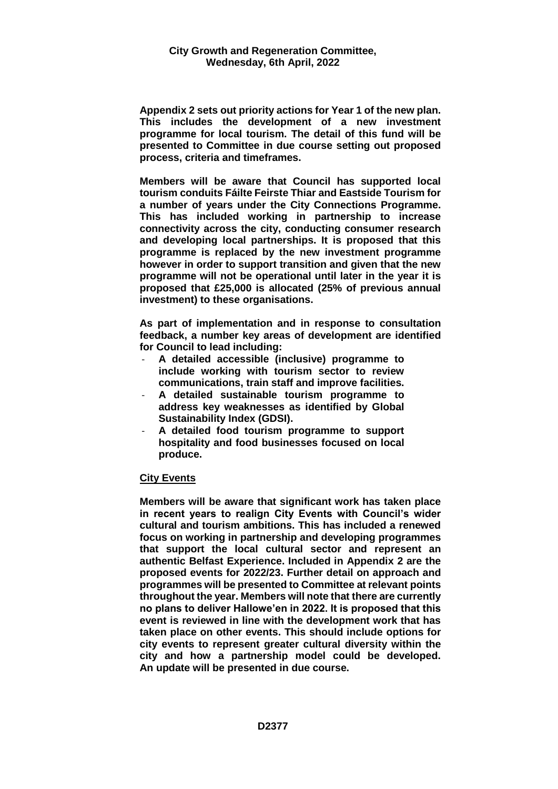**Appendix 2 sets out priority actions for Year 1 of the new plan. This includes the development of a new investment programme for local tourism. The detail of this fund will be presented to Committee in due course setting out proposed process, criteria and timeframes.** 

**Members will be aware that Council has supported local tourism conduits Fáilte Feirste Thiar and Eastside Tourism for a number of years under the City Connections Programme. This has included working in partnership to increase connectivity across the city, conducting consumer research and developing local partnerships. It is proposed that this programme is replaced by the new investment programme however in order to support transition and given that the new programme will not be operational until later in the year it is proposed that £25,000 is allocated (25% of previous annual investment) to these organisations.** 

**As part of implementation and in response to consultation feedback, a number key areas of development are identified for Council to lead including:**

- **A detailed accessible (inclusive) programme to include working with tourism sector to review communications, train staff and improve facilities.**
- **A detailed sustainable tourism programme to address key weaknesses as identified by Global Sustainability Index (GDSI).**
- **A detailed food tourism programme to support hospitality and food businesses focused on local produce.**

#### **City Events**

**Members will be aware that significant work has taken place in recent years to realign City Events with Council's wider cultural and tourism ambitions. This has included a renewed focus on working in partnership and developing programmes that support the local cultural sector and represent an authentic Belfast Experience. Included in Appendix 2 are the proposed events for 2022/23. Further detail on approach and programmes will be presented to Committee at relevant points throughout the year. Members will note that there are currently no plans to deliver Hallowe'en in 2022. It is proposed that this event is reviewed in line with the development work that has taken place on other events. This should include options for city events to represent greater cultural diversity within the city and how a partnership model could be developed. An update will be presented in due course.**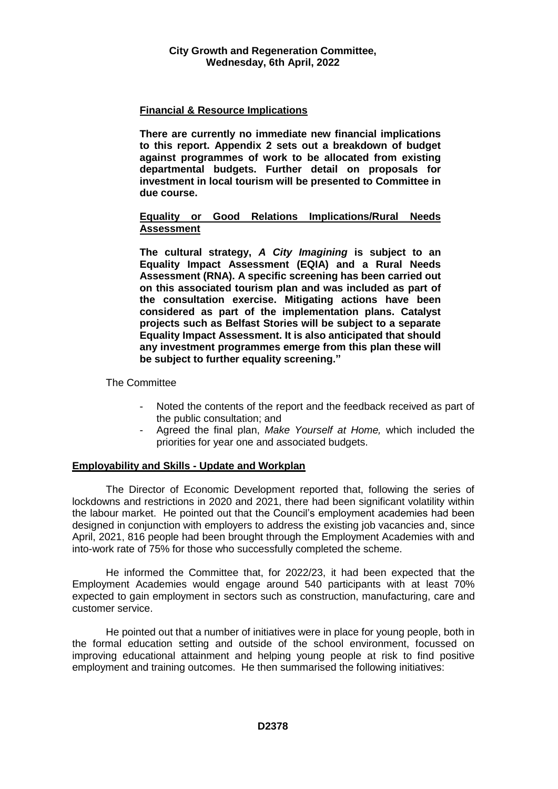# **Financial & Resource Implications**

**There are currently no immediate new financial implications to this report. Appendix 2 sets out a breakdown of budget against programmes of work to be allocated from existing departmental budgets. Further detail on proposals for investment in local tourism will be presented to Committee in due course.** 

## **Equality or Good Relations Implications/Rural Needs Assessment**

**The cultural strategy,** *A City Imagining* **is subject to an Equality Impact Assessment (EQIA) and a Rural Needs Assessment (RNA). A specific screening has been carried out on this associated tourism plan and was included as part of the consultation exercise. Mitigating actions have been considered as part of the implementation plans. Catalyst projects such as Belfast Stories will be subject to a separate Equality Impact Assessment. It is also anticipated that should any investment programmes emerge from this plan these will be subject to further equality screening."**

The Committee

- Noted the contents of the report and the feedback received as part of the public consultation; and
- Agreed the final plan, *Make Yourself at Home,* which included the priorities for year one and associated budgets.

## **Employability and Skills - Update and Workplan**

The Director of Economic Development reported that, following the series of lockdowns and restrictions in 2020 and 2021, there had been significant volatility within the labour market. He pointed out that the Council's employment academies had been designed in conjunction with employers to address the existing job vacancies and, since April, 2021, 816 people had been brought through the Employment Academies with and into-work rate of 75% for those who successfully completed the scheme.

He informed the Committee that, for 2022/23, it had been expected that the Employment Academies would engage around 540 participants with at least 70% expected to gain employment in sectors such as construction, manufacturing, care and customer service.

He pointed out that a number of initiatives were in place for young people, both in the formal education setting and outside of the school environment, focussed on improving educational attainment and helping young people at risk to find positive employment and training outcomes. He then summarised the following initiatives: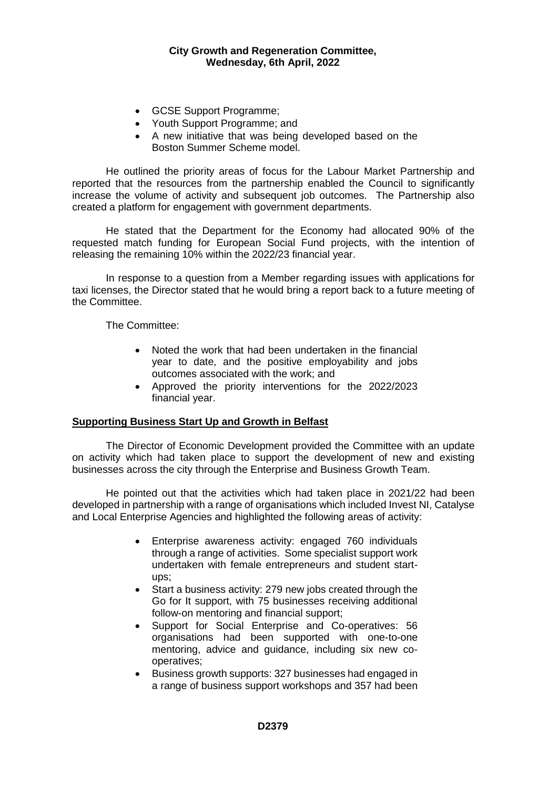- GCSE Support Programme;
- Youth Support Programme; and
- A new initiative that was being developed based on the Boston Summer Scheme model.

He outlined the priority areas of focus for the Labour Market Partnership and reported that the resources from the partnership enabled the Council to significantly increase the volume of activity and subsequent job outcomes. The Partnership also created a platform for engagement with government departments.

He stated that the Department for the Economy had allocated 90% of the requested match funding for European Social Fund projects, with the intention of releasing the remaining 10% within the 2022/23 financial year.

In response to a question from a Member regarding issues with applications for taxi licenses, the Director stated that he would bring a report back to a future meeting of the Committee.

The Committee:

- Noted the work that had been undertaken in the financial year to date, and the positive employability and jobs outcomes associated with the work; and
- Approved the priority interventions for the 2022/2023 financial year.

## **Supporting Business Start Up and Growth in Belfast**

The Director of Economic Development provided the Committee with an update on activity which had taken place to support the development of new and existing businesses across the city through the Enterprise and Business Growth Team.

He pointed out that the activities which had taken place in 2021/22 had been developed in partnership with a range of organisations which included Invest NI, Catalyse and Local Enterprise Agencies and highlighted the following areas of activity:

- Enterprise awareness activity: engaged 760 individuals through a range of activities. Some specialist support work undertaken with female entrepreneurs and student startups;
- Start a business activity: 279 new jobs created through the Go for It support, with 75 businesses receiving additional follow-on mentoring and financial support;
- Support for Social Enterprise and Co-operatives: 56 organisations had been supported with one-to-one mentoring, advice and guidance, including six new cooperatives;
- Business growth supports: 327 businesses had engaged in a range of business support workshops and 357 had been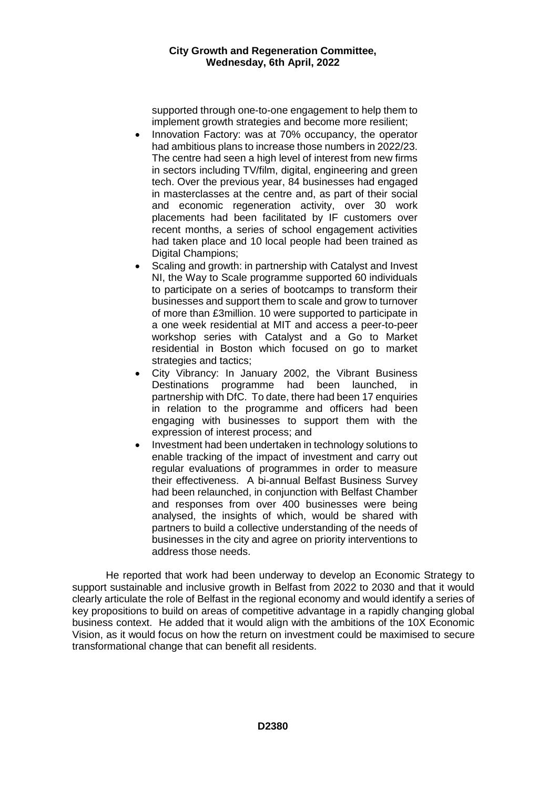supported through one-to-one engagement to help them to implement growth strategies and become more resilient;

- Innovation Factory: was at 70% occupancy, the operator had ambitious plans to increase those numbers in 2022/23. The centre had seen a high level of interest from new firms in sectors including TV/film, digital, engineering and green tech. Over the previous year, 84 businesses had engaged in masterclasses at the centre and, as part of their social and economic regeneration activity, over 30 work placements had been facilitated by IF customers over recent months, a series of school engagement activities had taken place and 10 local people had been trained as Digital Champions:
- Scaling and growth: in partnership with Catalyst and Invest NI, the Way to Scale programme supported 60 individuals to participate on a series of bootcamps to transform their businesses and support them to scale and grow to turnover of more than £3million. 10 were supported to participate in a one week residential at MIT and access a peer-to-peer workshop series with Catalyst and a Go to Market residential in Boston which focused on go to market strategies and tactics;
- City Vibrancy: In January 2002, the Vibrant Business Destinations programme had been launched, in partnership with DfC. To date, there had been 17 enquiries in relation to the programme and officers had been engaging with businesses to support them with the expression of interest process; and
- Investment had been undertaken in technology solutions to enable tracking of the impact of investment and carry out regular evaluations of programmes in order to measure their effectiveness. A bi-annual Belfast Business Survey had been relaunched, in conjunction with Belfast Chamber and responses from over 400 businesses were being analysed, the insights of which, would be shared with partners to build a collective understanding of the needs of businesses in the city and agree on priority interventions to address those needs.

He reported that work had been underway to develop an Economic Strategy to support sustainable and inclusive growth in Belfast from 2022 to 2030 and that it would clearly articulate the role of Belfast in the regional economy and would identify a series of key propositions to build on areas of competitive advantage in a rapidly changing global business context. He added that it would align with the ambitions of the 10X Economic Vision, as it would focus on how the return on investment could be maximised to secure transformational change that can benefit all residents.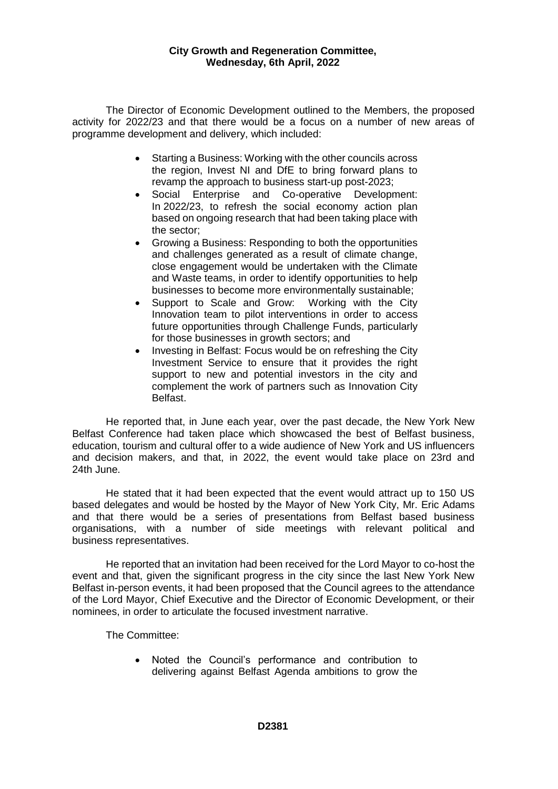The Director of Economic Development outlined to the Members, the proposed activity for 2022/23 and that there would be a focus on a number of new areas of programme development and delivery, which included:

- Starting a Business: Working with the other councils across the region, Invest NI and DfE to bring forward plans to revamp the approach to business start-up post-2023;
- Social Enterprise and Co-operative Development: In 2022/23, to refresh the social economy action plan based on ongoing research that had been taking place with the sector;
- Growing a Business: Responding to both the opportunities and challenges generated as a result of climate change, close engagement would be undertaken with the Climate and Waste teams, in order to identify opportunities to help businesses to become more environmentally sustainable;
- Support to Scale and Grow: Working with the City Innovation team to pilot interventions in order to access future opportunities through Challenge Funds, particularly for those businesses in growth sectors; and
- Investing in Belfast: Focus would be on refreshing the City Investment Service to ensure that it provides the right support to new and potential investors in the city and complement the work of partners such as Innovation City Belfast.

He reported that, in June each year, over the past decade, the New York New Belfast Conference had taken place which showcased the best of Belfast business, education, tourism and cultural offer to a wide audience of New York and US influencers and decision makers, and that, in 2022, the event would take place on 23rd and 24th June.

He stated that it had been expected that the event would attract up to 150 US based delegates and would be hosted by the Mayor of New York City, Mr. Eric Adams and that there would be a series of presentations from Belfast based business organisations, with a number of side meetings with relevant political and business representatives.

He reported that an invitation had been received for the Lord Mayor to co-host the event and that, given the significant progress in the city since the last New York New Belfast in-person events, it had been proposed that the Council agrees to the attendance of the Lord Mayor, Chief Executive and the Director of Economic Development, or their nominees, in order to articulate the focused investment narrative.

The Committee:

 Noted the Council's performance and contribution to delivering against Belfast Agenda ambitions to grow the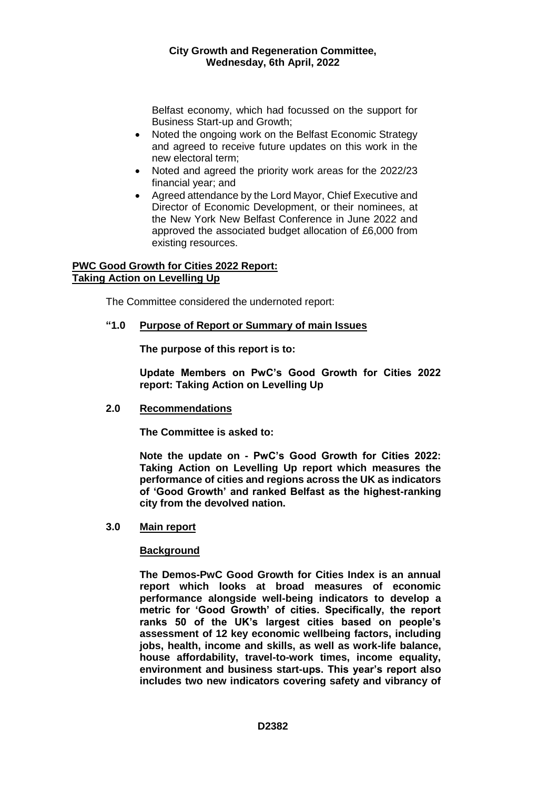Belfast economy, which had focussed on the support for Business Start-up and Growth;

- Noted the ongoing work on the Belfast Economic Strategy and agreed to receive future updates on this work in the new electoral term;
- Noted and agreed the priority work areas for the 2022/23 financial year; and
- Agreed attendance by the Lord Mayor, Chief Executive and Director of Economic Development, or their nominees, at the New York New Belfast Conference in June 2022 and approved the associated budget allocation of £6,000 from existing resources.

## **PWC Good Growth for Cities 2022 Report: Taking Action on Levelling Up**

The Committee considered the undernoted report:

## **"1.0 Purpose of Report or Summary of main Issues**

**The purpose of this report is to:**

**Update Members on PwC's Good Growth for Cities 2022 report: Taking Action on Levelling Up**

#### **2.0 Recommendations**

**The Committee is asked to:** 

**Note the update on - PwC's Good Growth for Cities 2022: Taking Action on Levelling Up report which measures the performance of cities and regions across the UK as indicators of 'Good Growth' and ranked Belfast as the highest-ranking city from the devolved nation.**

#### **3.0 Main report**

## **Background**

**The Demos-PwC Good Growth for Cities Index is an annual report which looks at broad measures of economic performance alongside well-being indicators to develop a metric for 'Good Growth' of cities. Specifically, the report ranks 50 of the UK's largest cities based on people's assessment of 12 key economic wellbeing factors, including jobs, health, income and skills, as well as work-life balance, house affordability, travel-to-work times, income equality, environment and business start-ups. This year's report also includes two new indicators covering safety and vibrancy of**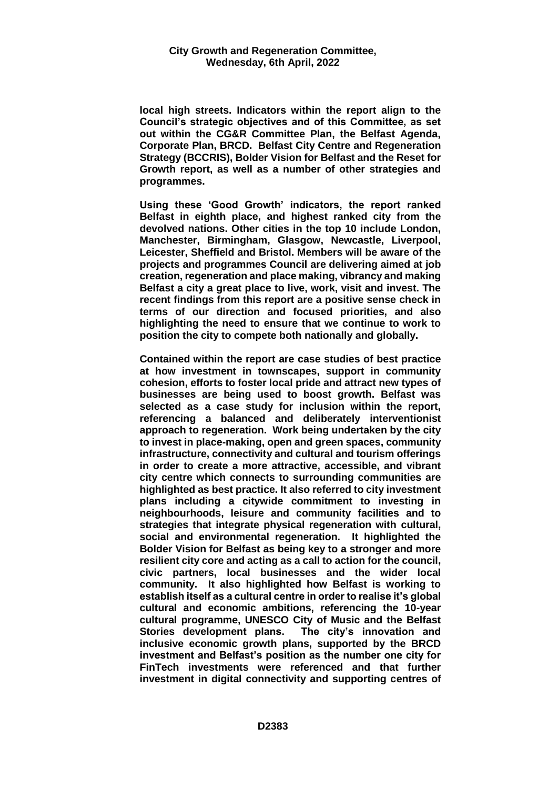**local high streets. Indicators within the report align to the Council's strategic objectives and of this Committee, as set out within the CG&R Committee Plan, the Belfast Agenda, Corporate Plan, BRCD. Belfast City Centre and Regeneration Strategy (BCCRIS), Bolder Vision for Belfast and the Reset for Growth report, as well as a number of other strategies and programmes.**

**Using these 'Good Growth' indicators, the report ranked Belfast in eighth place, and highest ranked city from the devolved nations. Other cities in the top 10 include London, Manchester, Birmingham, Glasgow, Newcastle, Liverpool, Leicester, Sheffield and Bristol. Members will be aware of the projects and programmes Council are delivering aimed at job creation, regeneration and place making, vibrancy and making Belfast a city a great place to live, work, visit and invest. The recent findings from this report are a positive sense check in terms of our direction and focused priorities, and also highlighting the need to ensure that we continue to work to position the city to compete both nationally and globally.**

**Contained within the report are case studies of best practice at how investment in townscapes, support in community cohesion, efforts to foster local pride and attract new types of businesses are being used to boost growth. Belfast was selected as a case study for inclusion within the report, referencing a balanced and deliberately interventionist approach to regeneration. Work being undertaken by the city to invest in place-making, open and green spaces, community infrastructure, connectivity and cultural and tourism offerings in order to create a more attractive, accessible, and vibrant city centre which connects to surrounding communities are highlighted as best practice. It also referred to city investment plans including a citywide commitment to investing in neighbourhoods, leisure and community facilities and to strategies that integrate physical regeneration with cultural, social and environmental regeneration. It highlighted the Bolder Vision for Belfast as being key to a stronger and more resilient city core and acting as a call to action for the council, civic partners, local businesses and the wider local community. It also highlighted how Belfast is working to establish itself as a cultural centre in order to realise it's global cultural and economic ambitions, referencing the 10-year cultural programme, UNESCO City of Music and the Belfast Stories development plans. The city's innovation and inclusive economic growth plans, supported by the BRCD investment and Belfast's position as the number one city for FinTech investments were referenced and that further investment in digital connectivity and supporting centres of**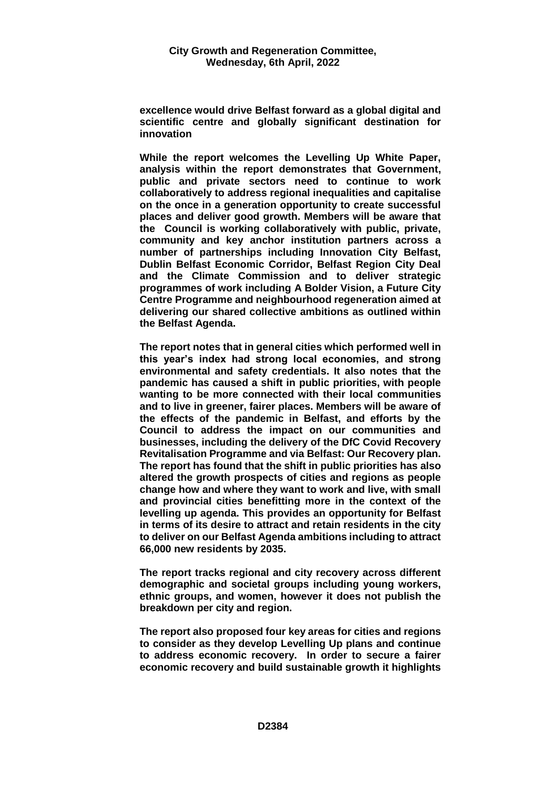**excellence would drive Belfast forward as a global digital and scientific centre and globally significant destination for innovation**

**While the report welcomes the Levelling Up White Paper, analysis within the report demonstrates that Government, public and private sectors need to continue to work collaboratively to address regional inequalities and capitalise on the once in a generation opportunity to create successful places and deliver good growth. Members will be aware that the Council is working collaboratively with public, private, community and key anchor institution partners across a number of partnerships including Innovation City Belfast, Dublin Belfast Economic Corridor, Belfast Region City Deal and the Climate Commission and to deliver strategic programmes of work including A Bolder Vision, a Future City Centre Programme and neighbourhood regeneration aimed at delivering our shared collective ambitions as outlined within the Belfast Agenda.** 

**The report notes that in general cities which performed well in this year's index had strong local economies, and strong environmental and safety credentials. It also notes that the pandemic has caused a shift in public priorities, with people wanting to be more connected with their local communities and to live in greener, fairer places. Members will be aware of the effects of the pandemic in Belfast, and efforts by the Council to address the impact on our communities and businesses, including the delivery of the DfC Covid Recovery Revitalisation Programme and via Belfast: Our Recovery plan. The report has found that the shift in public priorities has also altered the growth prospects of cities and regions as people change how and where they want to work and live, with small and provincial cities benefitting more in the context of the levelling up agenda. This provides an opportunity for Belfast in terms of its desire to attract and retain residents in the city to deliver on our Belfast Agenda ambitions including to attract 66,000 new residents by 2035.** 

**The report tracks regional and city recovery across different demographic and societal groups including young workers, ethnic groups, and women, however it does not publish the breakdown per city and region.** 

**The report also proposed four key areas for cities and regions to consider as they develop Levelling Up plans and continue to address economic recovery. In order to secure a fairer economic recovery and build sustainable growth it highlights**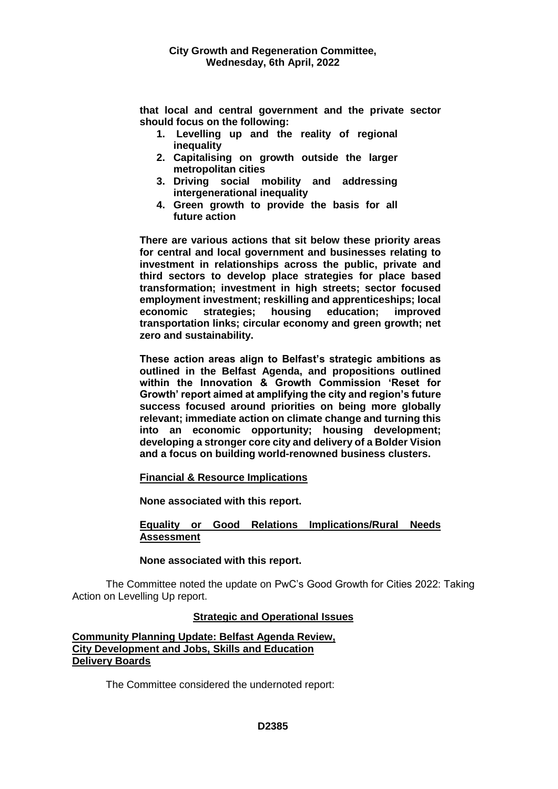**that local and central government and the private sector should focus on the following:** 

- **1. Levelling up and the reality of regional inequality**
- **2. Capitalising on growth outside the larger metropolitan cities**
- **3. Driving social mobility and addressing intergenerational inequality**
- **4. Green growth to provide the basis for all future action**

**There are various actions that sit below these priority areas for central and local government and businesses relating to investment in relationships across the public, private and third sectors to develop place strategies for place based transformation; investment in high streets; sector focused employment investment; reskilling and apprenticeships; local economic strategies; housing education; improved transportation links; circular economy and green growth; net zero and sustainability.** 

**These action areas align to Belfast's strategic ambitions as outlined in the Belfast Agenda, and propositions outlined within the Innovation & Growth Commission 'Reset for Growth' report aimed at amplifying the city and region's future success focused around priorities on being more globally relevant; immediate action on climate change and turning this into an economic opportunity; housing development; developing a stronger core city and delivery of a Bolder Vision and a focus on building world-renowned business clusters.** 

## **Financial & Resource Implications**

**None associated with this report.**

## **Equality or Good Relations Implications/Rural Needs Assessment**

## **None associated with this report.**

The Committee noted the update on PwC's Good Growth for Cities 2022: Taking Action on Levelling Up report.

## **Strategic and Operational Issues**

## **Community Planning Update: Belfast Agenda Review, City Development and Jobs, Skills and Education Delivery Boards**

The Committee considered the undernoted report: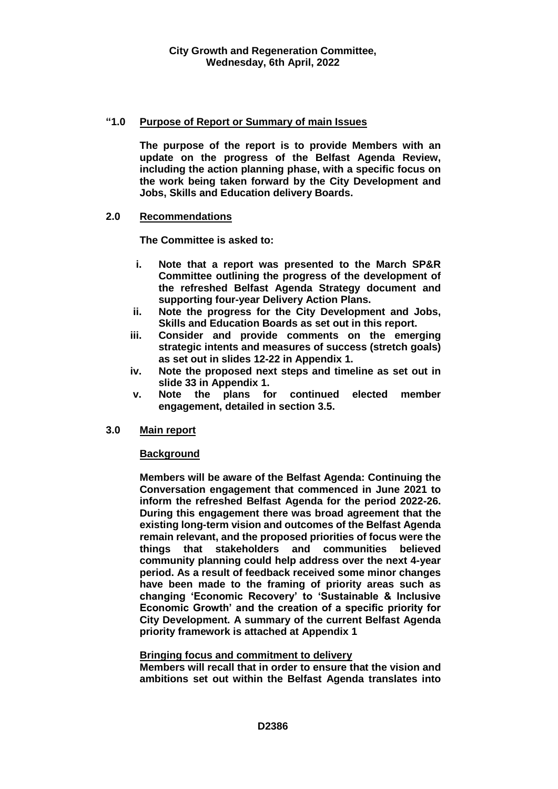## **"1.0 Purpose of Report or Summary of main Issues**

**The purpose of the report is to provide Members with an update on the progress of the Belfast Agenda Review, including the action planning phase, with a specific focus on the work being taken forward by the City Development and Jobs, Skills and Education delivery Boards.**

## **2.0 Recommendations**

**The Committee is asked to:** 

- **i. Note that a report was presented to the March SP&R Committee outlining the progress of the development of the refreshed Belfast Agenda Strategy document and supporting four-year Delivery Action Plans.**
- **ii. Note the progress for the City Development and Jobs, Skills and Education Boards as set out in this report.**
- **iii. Consider and provide comments on the emerging strategic intents and measures of success (stretch goals) as set out in slides 12-22 in Appendix 1.**
- **iv. Note the proposed next steps and timeline as set out in slide 33 in Appendix 1.**
- **v. Note the plans for continued elected member engagement, detailed in section 3.5.**

## **3.0 Main report**

#### **Background**

**Members will be aware of the Belfast Agenda: Continuing the Conversation engagement that commenced in June 2021 to inform the refreshed Belfast Agenda for the period 2022-26. During this engagement there was broad agreement that the existing long-term vision and outcomes of the Belfast Agenda remain relevant, and the proposed priorities of focus were the things that stakeholders and communities believed community planning could help address over the next 4-year period. As a result of feedback received some minor changes have been made to the framing of priority areas such as changing 'Economic Recovery' to 'Sustainable & Inclusive Economic Growth' and the creation of a specific priority for City Development. A summary of the current Belfast Agenda priority framework is attached at Appendix 1**

#### **Bringing focus and commitment to delivery**

**Members will recall that in order to ensure that the vision and ambitions set out within the Belfast Agenda translates into**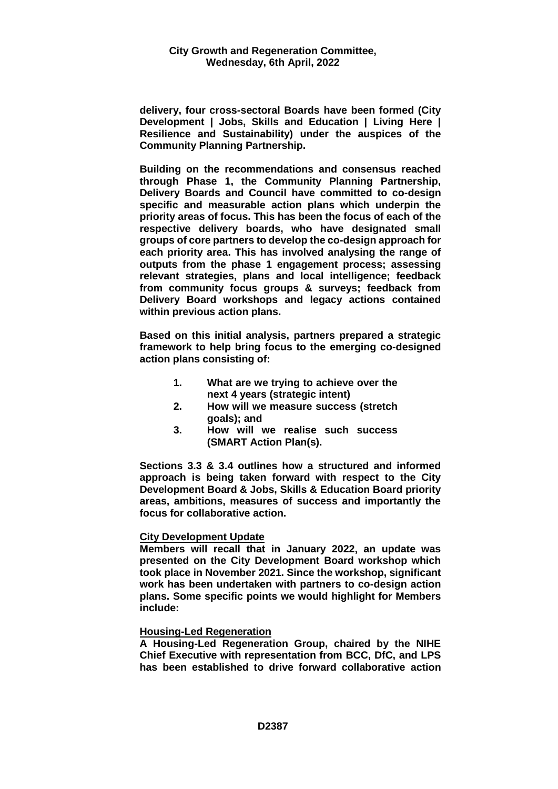**delivery, four cross-sectoral Boards have been formed (City Development | Jobs, Skills and Education | Living Here | Resilience and Sustainability) under the auspices of the Community Planning Partnership.** 

**Building on the recommendations and consensus reached through Phase 1, the Community Planning Partnership, Delivery Boards and Council have committed to co-design specific and measurable action plans which underpin the priority areas of focus. This has been the focus of each of the respective delivery boards, who have designated small groups of core partners to develop the co-design approach for each priority area. This has involved analysing the range of outputs from the phase 1 engagement process; assessing relevant strategies, plans and local intelligence; feedback from community focus groups & surveys; feedback from Delivery Board workshops and legacy actions contained within previous action plans.** 

**Based on this initial analysis, partners prepared a strategic framework to help bring focus to the emerging co-designed action plans consisting of:**

- **1. What are we trying to achieve over the next 4 years (strategic intent)**
- **2. How will we measure success (stretch goals); and**
- **3. How will we realise such success (SMART Action Plan(s).**

**Sections 3.3 & 3.4 outlines how a structured and informed approach is being taken forward with respect to the City Development Board & Jobs, Skills & Education Board priority areas, ambitions, measures of success and importantly the focus for collaborative action.**

#### **City Development Update**

**Members will recall that in January 2022, an update was presented on the City Development Board workshop which took place in November 2021. Since the workshop, significant work has been undertaken with partners to co-design action plans. Some specific points we would highlight for Members include:**

#### **Housing-Led Regeneration**

**A Housing-Led Regeneration Group, chaired by the NIHE Chief Executive with representation from BCC, DfC, and LPS has been established to drive forward collaborative action**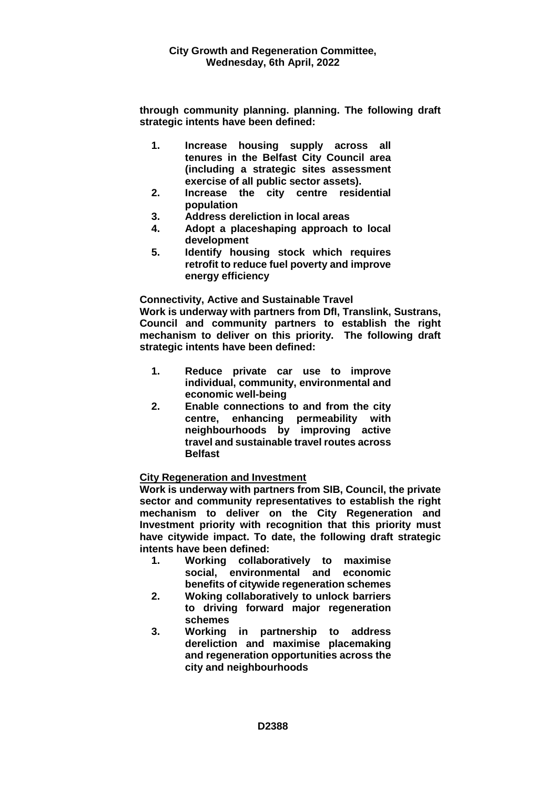**through community planning. planning. The following draft strategic intents have been defined:**

- **1. Increase housing supply across all tenures in the Belfast City Council area (including a strategic sites assessment exercise of all public sector assets).**
- **2. Increase the city centre residential population**
- **3. Address dereliction in local areas**
- **4. Adopt a placeshaping approach to local development**
- **5. Identify housing stock which requires retrofit to reduce fuel poverty and improve energy efficiency**

**Connectivity, Active and Sustainable Travel**

**Work is underway with partners from DfI, Translink, Sustrans, Council and community partners to establish the right mechanism to deliver on this priority. The following draft strategic intents have been defined:**

- **1. Reduce private car use to improve individual, community, environmental and economic well-being**
- **2. Enable connections to and from the city centre, enhancing permeability with neighbourhoods by improving active travel and sustainable travel routes across Belfast**

# **City Regeneration and Investment**

**Work is underway with partners from SIB, Council, the private sector and community representatives to establish the right mechanism to deliver on the City Regeneration and Investment priority with recognition that this priority must have citywide impact. To date, the following draft strategic intents have been defined:**

- **1. Working collaboratively to maximise social, environmental and economic benefits of citywide regeneration schemes**
- **2. Woking collaboratively to unlock barriers to driving forward major regeneration schemes**
- **3. Working in partnership to address dereliction and maximise placemaking and regeneration opportunities across the city and neighbourhoods**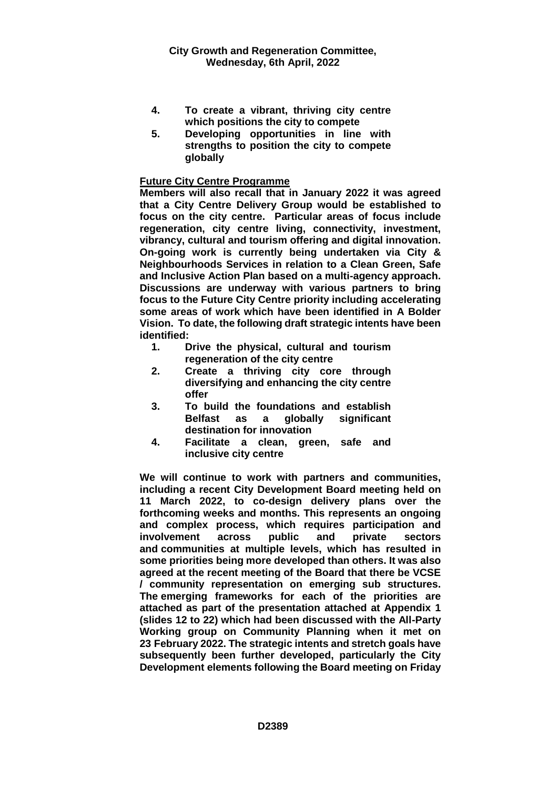- **4. To create a vibrant, thriving city centre which positions the city to compete**
- **5. Developing opportunities in line with strengths to position the city to compete globally**

## **Future City Centre Programme**

**Members will also recall that in January 2022 it was agreed that a City Centre Delivery Group would be established to focus on the city centre. Particular areas of focus include regeneration, city centre living, connectivity, investment, vibrancy, cultural and tourism offering and digital innovation. On-going work is currently being undertaken via City & Neighbourhoods Services in relation to a Clean Green, Safe and Inclusive Action Plan based on a multi-agency approach. Discussions are underway with various partners to bring focus to the Future City Centre priority including accelerating some areas of work which have been identified in A Bolder Vision. To date, the following draft strategic intents have been identified:**

- **1. Drive the physical, cultural and tourism regeneration of the city centre**
- **2. Create a thriving city core through diversifying and enhancing the city centre offer**
- **3. To build the foundations and establish Belfast as a globally significant destination for innovation**
- **4. Facilitate a clean, green, safe and inclusive city centre**

**We will continue to work with partners and communities, including a recent City Development Board meeting held on 11 March 2022, to co-design delivery plans over the forthcoming weeks and months. This represents an ongoing and complex process, which requires participation and involvement across public and private sectors and communities at multiple levels, which has resulted in some priorities being more developed than others. It was also agreed at the recent meeting of the Board that there be VCSE / community representation on emerging sub structures. The emerging frameworks for each of the priorities are attached as part of the presentation attached at Appendix 1 (slides 12 to 22) which had been discussed with the All-Party Working group on Community Planning when it met on 23 February 2022. The strategic intents and stretch goals have subsequently been further developed, particularly the City Development elements following the Board meeting on Friday**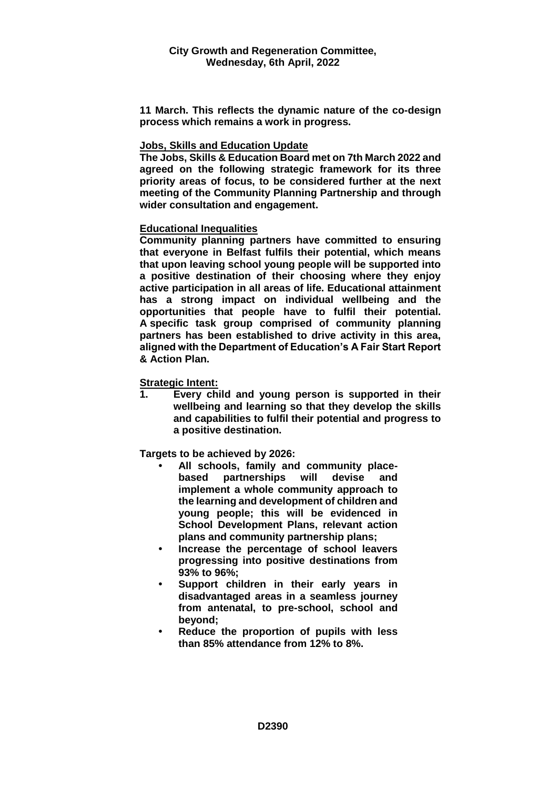**11 March. This reflects the dynamic nature of the co-design process which remains a work in progress.**

## **Jobs, Skills and Education Update**

**The Jobs, Skills & Education Board met on 7th March 2022 and agreed on the following strategic framework for its three priority areas of focus, to be considered further at the next meeting of the Community Planning Partnership and through wider consultation and engagement.**

## **Educational Inequalities**

**Community planning partners have committed to ensuring that everyone in Belfast fulfils their potential, which means that upon leaving school young people will be supported into a positive destination of their choosing where they enjoy active participation in all areas of life. Educational attainment has a strong impact on individual wellbeing and the opportunities that people have to fulfil their potential. A specific task group comprised of community planning partners has been established to drive activity in this area, aligned with the Department of Education's A Fair Start Report & Action Plan.**

## **Strategic Intent:**

**1. Every child and young person is supported in their wellbeing and learning so that they develop the skills and capabilities to fulfil their potential and progress to a positive destination.**

**Targets to be achieved by 2026:**

- **• All schools, family and community placebased partnerships will devise and implement a whole community approach to the learning and development of children and young people; this will be evidenced in School Development Plans, relevant action plans and community partnership plans;**
- **• Increase the percentage of school leavers progressing into positive destinations from 93% to 96%;**
- **• Support children in their early years in disadvantaged areas in a seamless journey from antenatal, to pre-school, school and beyond;**
- **• Reduce the proportion of pupils with less than 85% attendance from 12% to 8%.**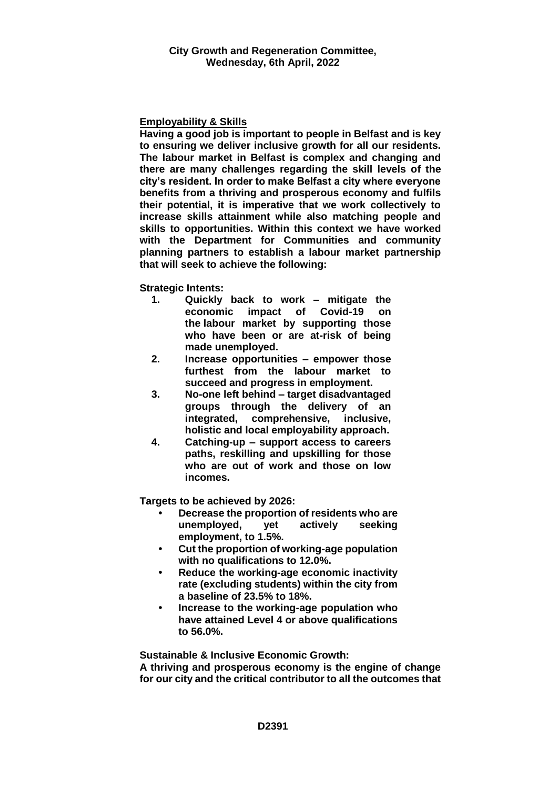## **Employability & Skills**

**Having a good job is important to people in Belfast and is key to ensuring we deliver inclusive growth for all our residents. The labour market in Belfast is complex and changing and there are many challenges regarding the skill levels of the city's resident. In order to make Belfast a city where everyone benefits from a thriving and prosperous economy and fulfils their potential, it is imperative that we work collectively to increase skills attainment while also matching people and skills to opportunities. Within this context we have worked with the Department for Communities and community planning partners to establish a labour market partnership that will seek to achieve the following:**

**Strategic Intents:**

- **1. Quickly back to work – mitigate the economic impact of Covid-19 on the labour market by supporting those who have been or are at-risk of being made unemployed.**
- **2. Increase opportunities – empower those furthest from the labour market to succeed and progress in employment.**
- **3. No-one left behind – target disadvantaged groups through the delivery of an integrated, comprehensive, inclusive, holistic and local employability approach.**
- **4. Catching-up – support access to careers paths, reskilling and upskilling for those who are out of work and those on low incomes.**

**Targets to be achieved by 2026:**

- **• Decrease the proportion of residents who are unemployed, yet actively seeking employment, to 1.5%.**
- **• Cut the proportion of working-age population with no qualifications to 12.0%.**
- **• Reduce the working-age economic inactivity rate (excluding students) within the city from a baseline of 23.5% to 18%.**
- **• Increase to the working-age population who have attained Level 4 or above qualifications to 56.0%.**

**Sustainable & Inclusive Economic Growth: A thriving and prosperous economy is the engine of change for our city and the critical contributor to all the outcomes that**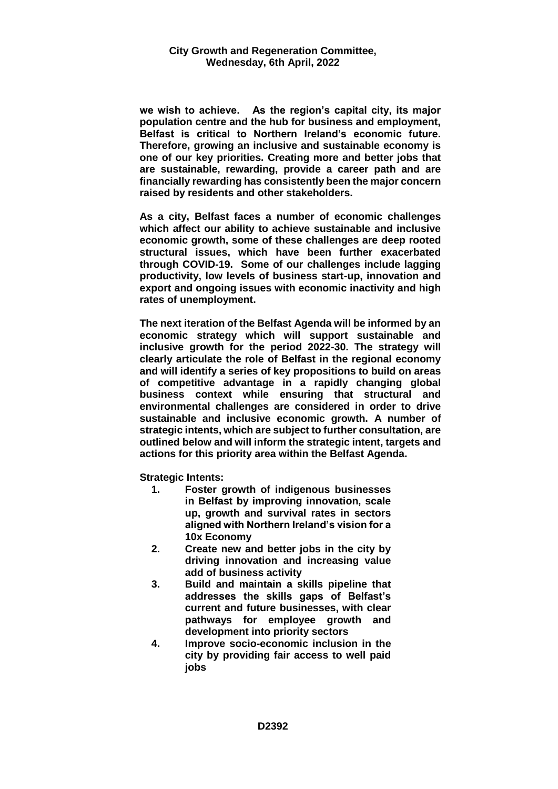**we wish to achieve. As the region's capital city, its major population centre and the hub for business and employment, Belfast is critical to Northern Ireland's economic future. Therefore, growing an inclusive and sustainable economy is one of our key priorities. Creating more and better jobs that are sustainable, rewarding, provide a career path and are financially rewarding has consistently been the major concern raised by residents and other stakeholders.**

**As a city, Belfast faces a number of economic challenges which affect our ability to achieve sustainable and inclusive economic growth, some of these challenges are deep rooted structural issues, which have been further exacerbated through COVID-19. Some of our challenges include lagging productivity, low levels of business start-up, innovation and export and ongoing issues with economic inactivity and high rates of unemployment.** 

**The next iteration of the Belfast Agenda will be informed by an economic strategy which will support sustainable and inclusive growth for the period 2022-30. The strategy will clearly articulate the role of Belfast in the regional economy and will identify a series of key propositions to build on areas of competitive advantage in a rapidly changing global business context while ensuring that structural and environmental challenges are considered in order to drive sustainable and inclusive economic growth. A number of strategic intents, which are subject to further consultation, are outlined below and will inform the strategic intent, targets and actions for this priority area within the Belfast Agenda.** 

**Strategic Intents:**

- **1. Foster growth of indigenous businesses in Belfast by improving innovation, scale up, growth and survival rates in sectors aligned with Northern Ireland's vision for a 10x Economy**
- **2. Create new and better jobs in the city by driving innovation and increasing value add of business activity**
- **3. Build and maintain a skills pipeline that addresses the skills gaps of Belfast's current and future businesses, with clear pathways for employee growth and development into priority sectors**
- **4. Improve socio-economic inclusion in the city by providing fair access to well paid jobs**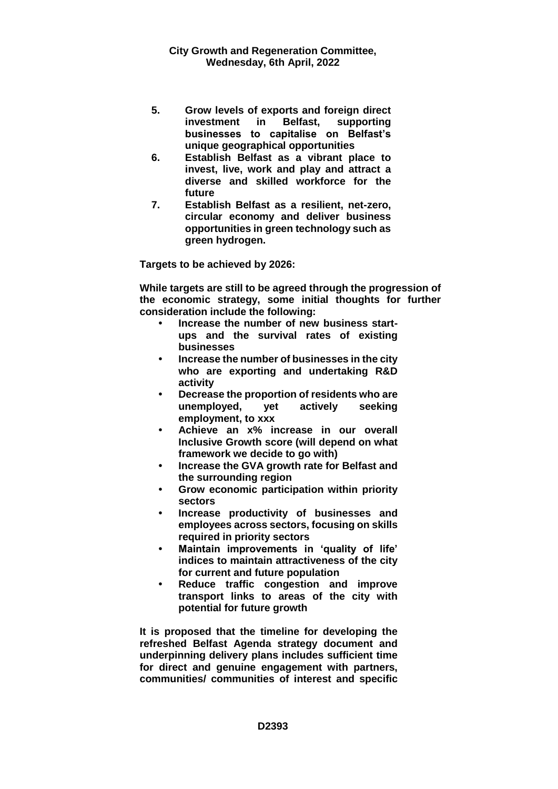- **5. Grow levels of exports and foreign direct investment in Belfast, supporting businesses to capitalise on Belfast's unique geographical opportunities**
- **6. Establish Belfast as a vibrant place to invest, live, work and play and attract a diverse and skilled workforce for the future**
- **7. Establish Belfast as a resilient, net-zero, circular economy and deliver business opportunities in green technology such as green hydrogen.**

**Targets to be achieved by 2026:**

**While targets are still to be agreed through the progression of the economic strategy, some initial thoughts for further consideration include the following:**

- **• Increase the number of new business startups and the survival rates of existing businesses**
- **• Increase the number of businesses in the city who are exporting and undertaking R&D activity**
- **• Decrease the proportion of residents who are unemployed, yet actively seeking employment, to xxx**
- **• Achieve an x% increase in our overall Inclusive Growth score (will depend on what framework we decide to go with)**
- **• Increase the GVA growth rate for Belfast and the surrounding region**
- **• Grow economic participation within priority sectors**
- **• Increase productivity of businesses and employees across sectors, focusing on skills required in priority sectors**
- **• Maintain improvements in 'quality of life' indices to maintain attractiveness of the city for current and future population**
- **• Reduce traffic congestion and improve transport links to areas of the city with potential for future growth**

**It is proposed that the timeline for developing the refreshed Belfast Agenda strategy document and underpinning delivery plans includes sufficient time for direct and genuine engagement with partners, communities/ communities of interest and specific**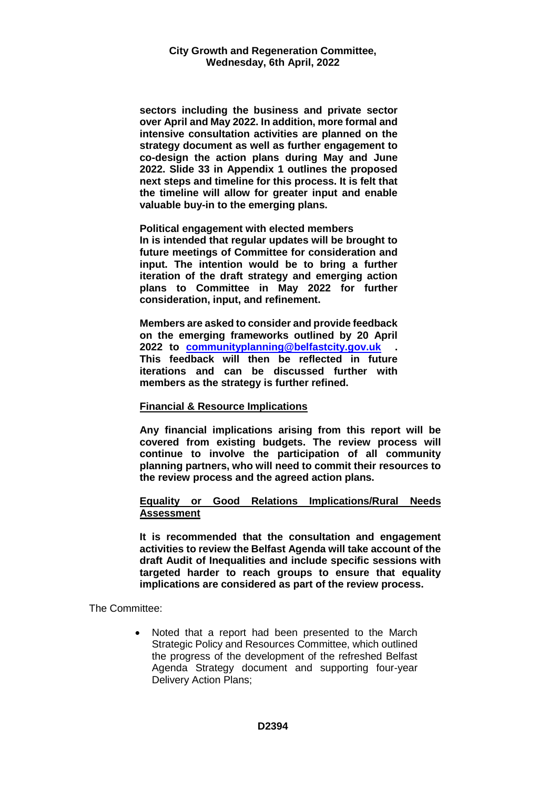**sectors including the business and private sector over April and May 2022. In addition, more formal and intensive consultation activities are planned on the strategy document as well as further engagement to co-design the action plans during May and June 2022. Slide 33 in Appendix 1 outlines the proposed next steps and timeline for this process. It is felt that the timeline will allow for greater input and enable valuable buy-in to the emerging plans.**

**Political engagement with elected members In is intended that regular updates will be brought to future meetings of Committee for consideration and input. The intention would be to bring a further iteration of the draft strategy and emerging action plans to Committee in May 2022 for further consideration, input, and refinement.**

**Members are asked to consider and provide feedback on the emerging frameworks outlined by 20 April 2022 to [communityplanning@belfastcity.gov.uk](mailto:communityplanning@belfastcity.gov.uk) . This feedback will then be reflected in future iterations and can be discussed further with members as the strategy is further refined.**

#### **Financial & Resource Implications**

**Any financial implications arising from this report will be covered from existing budgets. The review process will continue to involve the participation of all community planning partners, who will need to commit their resources to the review process and the agreed action plans.**

#### **Equality or Good Relations Implications/Rural Needs Assessment**

**It is recommended that the consultation and engagement activities to review the Belfast Agenda will take account of the draft Audit of Inequalities and include specific sessions with targeted harder to reach groups to ensure that equality implications are considered as part of the review process.**

The Committee:

 Noted that a report had been presented to the March Strategic Policy and Resources Committee, which outlined the progress of the development of the refreshed Belfast Agenda Strategy document and supporting four-year Delivery Action Plans;